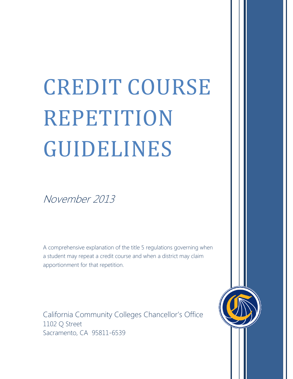# CREDIT COURSE REPETITION GUIDELINES

November 2013

A comprehensive explanation of the title 5 regulations governing when a student may repeat a credit course and when a district may claim apportionment for that repetition.

<span id="page-0-0"></span>California Community Colleges Chancellor's Office 1102 Q Street Sacramento, CA 95811-6539

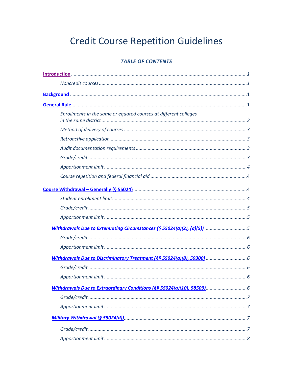# **Credit Course Repetition Guidelines**

# **TABLE OF CONTENTS**

| Enrollments in the same or equated courses at different colleges       |
|------------------------------------------------------------------------|
|                                                                        |
|                                                                        |
|                                                                        |
|                                                                        |
|                                                                        |
|                                                                        |
|                                                                        |
|                                                                        |
|                                                                        |
|                                                                        |
| Withdrawals Due to Extenuating Circumstances (§ 55024(a)(2), (a)(5)) 5 |
|                                                                        |
|                                                                        |
|                                                                        |
|                                                                        |
|                                                                        |
|                                                                        |
|                                                                        |
|                                                                        |
|                                                                        |
|                                                                        |
|                                                                        |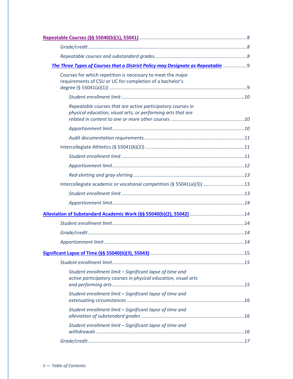| The Three Types of Courses that a District Policy may Designate as Repeatable  9                                            |  |
|-----------------------------------------------------------------------------------------------------------------------------|--|
| Courses for which repetition is necessary to meet the major<br>requirements of CSU or UC for completion of a bachelor's     |  |
|                                                                                                                             |  |
| Repeatable courses that are active participatory courses in<br>physical education, visual arts, or performing arts that are |  |
|                                                                                                                             |  |
|                                                                                                                             |  |
|                                                                                                                             |  |
|                                                                                                                             |  |
|                                                                                                                             |  |
|                                                                                                                             |  |
| Intercollegiate academic or vocational competition (§ 55041(a)(3))  13                                                      |  |
|                                                                                                                             |  |
|                                                                                                                             |  |
|                                                                                                                             |  |
|                                                                                                                             |  |
|                                                                                                                             |  |
|                                                                                                                             |  |
|                                                                                                                             |  |
|                                                                                                                             |  |
| Student enrollment limit - Significant lapse of time and<br>active participatory courses in physical education, visual arts |  |
| Student enrollment limit - Significant lapse of time and                                                                    |  |
| Student enrollment limit - Significant lapse of time and                                                                    |  |
| Student enrollment limit - Significant lapse of time and                                                                    |  |
|                                                                                                                             |  |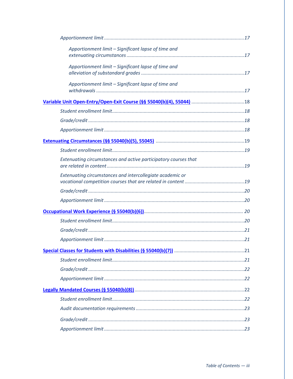| Apportionment limit - Significant lapse of time and             |  |
|-----------------------------------------------------------------|--|
| Apportionment limit - Significant lapse of time and             |  |
| Apportionment limit - Significant lapse of time and             |  |
|                                                                 |  |
|                                                                 |  |
|                                                                 |  |
|                                                                 |  |
|                                                                 |  |
|                                                                 |  |
| Extenuating circumstances and active participatory courses that |  |
| Extenuating circumstances and intercollegiate academic or       |  |
|                                                                 |  |
|                                                                 |  |
|                                                                 |  |
|                                                                 |  |
|                                                                 |  |
|                                                                 |  |
|                                                                 |  |
|                                                                 |  |
|                                                                 |  |
|                                                                 |  |
|                                                                 |  |
|                                                                 |  |
|                                                                 |  |
|                                                                 |  |
|                                                                 |  |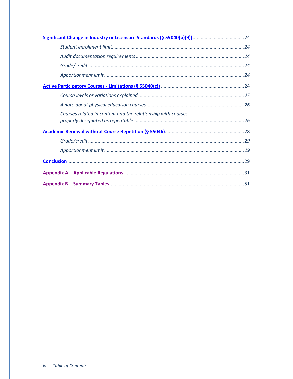| Courses related in content and the relationship with courses |  |
|--------------------------------------------------------------|--|
|                                                              |  |
|                                                              |  |
|                                                              |  |
|                                                              |  |
|                                                              |  |
|                                                              |  |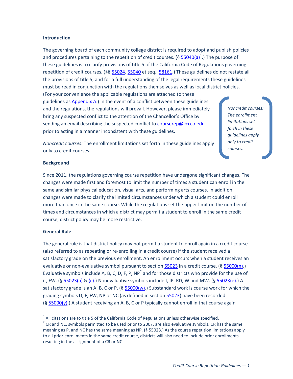#### <span id="page-5-0"></span>**Introduction**

The governing board of each community college district is required to adopt and publish policies and procedures pertaining to the repetition of credit courses. (§  $55040(a)^{1}$  $55040(a)^{1}$  $55040(a)^{1}$  $55040(a)^{1}$ .) The purpose of these guidelines is to clarify provisions of title 5 of the California Code of Regulations governing repetition of credit courses. (§§ [55024,](#page-39-0) [55040](#page-41-1) et seq., [58161.](#page-48-0)) These guidelines do not restate all the provisions of title 5, and for a full understanding of the legal requirements these guidelines must be read in conjunction with the regulations themselves as well as local district policies. (For your convenience the applicable regulations are attached to these guidelines as [Appendix A.](#page-34-0)) In the event of a conflict between these guidelines and the regulations, the regulations will prevail. However, please immediately bring any suspected conflict to the attention of the Chancellor's Office by sending an email describing the suspected conflict to [courserep@cccco.edu](mailto:courserep@cccco.edu)

*Noncredit courses: The enrollment limitations set forth in these guidelines apply only to credit courses.*

*Noncredit courses:* The enrollment limitations set forth in these guidelines apply only to credit courses.

prior to acting in a manner inconsistent with these guidelines.

#### <span id="page-5-1"></span>**Background**

Since 2011, the regulations governing course repetition have undergone significant changes. The changes were made first and foremost to limit the number of times a student can enroll in the same and similar physical education, visual arts, and performing arts courses. In addition, changes were made to clarify the limited circumstances under which a student could enroll more than once in the same course. While the regulations set the upper limit on the number of times and circumstances in which a district may permit a student to enroll in the same credit course, district policy may be more restrictive.

#### <span id="page-5-2"></span>**General Rule**

The general rule is that district policy may not permit a student to enroll again in a credit course (also referred to as repeating or re-enrolling in a credit course) if the student received a satisfactory grade on the previous enrollment. An enrollment occurs when a student receives an evaluative or non-evaluative symbol pursuant to sectio[n 55023](#page-36-0) in a credit course. ([§ 55000\(n\).](#page-35-0)) Evaluative symbols include A, B, C, D, F, P,  $NP<sup>2</sup>$  $NP<sup>2</sup>$  $NP<sup>2</sup>$  and for those districts who provide for the use of it, FW. (§ [55023\(a\)](#page-36-1) & [\(c\).](#page-37-0)) Nonevaluative symbols include I, IP, RD, W and MW. (§ [55023\(e\).](#page-37-1)) A satisfactory grade is an A, B, C or P. ( $\S$  55000(w).) Substandard work is course work for which the grading symbols D, F, FW, NP or NC (as defined in sectio[n 55023\)](#page-36-0) have been recorded.  $(S 55000(y))$  A student receiving an A, B, C or P typically cannot enroll in that course again

 $1$  All citations are to title 5 of the California Code of Regulations unless otherwise specified.

<span id="page-5-3"></span> $2$  CR and NC, symbols permitted to be used prior to 2007, are also evaluative symbols. CR has the same meaning as P, and NC has the same meaning as NP. (§ 55023.) As the course repetition limitations apply to all prior enrollments in the same credit course, districts will also need to include prior enrollments resulting in the assignment of a CR or NC.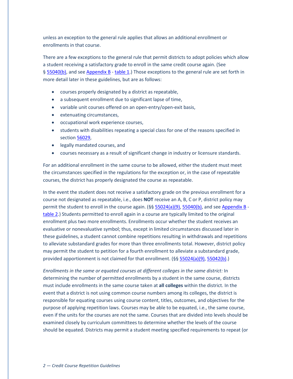unless an exception to the general rule applies that allows an additional enrollment or enrollments in that course.

There are a few exceptions to the general rule that permit districts to adopt policies which allow a student receiving a satisfactory grade to enroll in the same credit course again. (See § [55040\(b\),](#page-41-2) and se[e Appendix B](#page-53-0) - [table 1.](#page-54-0)) Those exceptions to the general rule are set forth in more detail later in these guidelines, but are as follows:

- courses properly designated by a district as repeatable,
- a subsequent enrollment due to significant lapse of time,
- variable unit courses offered on an open-entry/open-exit basis,
- extenuating circumstances,
- occupational work experience courses,
- students with disabilities repeating a special class for one of the reasons specified in sectio[n 56029,](#page-47-0)
- legally mandated courses, and
- courses necessary as a result of significant change in industry or licensure standards.

For an additional enrollment in the same course to be allowed, either the student must meet the circumstances specified in the regulations for the exception or, in the case of repeatable courses, the district has properly designated the course as repeatable.

In the event the student does not receive a satisfactory grade on the previous enrollment for a course not designated as repeatable, i.e., does **NOT** receive an A, B, C or P, district policy may permit the student to enroll in the course again.  $(\frac{6}{5} \frac{55024(a)(9)}{55040(b)}$ , and see [Appendix B](#page-53-0) [table 2.](#page-55-0)) Students permitted to enroll again in a course are typically limited to the original enrollment plus two more enrollments. Enrollments occur whether the student receives an evaluative or nonevaluative symbol; thus, except in limited circumstances discussed later in these guidelines, a student cannot combine repetitions resulting in withdrawals and repetitions to alleviate substandard grades for more than three enrollments total. However, district policy may permit the student to petition for a fourth enrollment to alleviate a substandard grade, provided apportionment is not claimed for that enrollment. (§§ [55024\(a\)\(9\),](#page-40-0) [55042\(b\).](#page-43-0))

*Enrollments in the same or equated courses at different colleges in the same district:* In determining the number of permitted enrollments by a student in the same course, districts must include enrollments in the same course taken at **all colleges** within the district. In the event that a district is not using common course numbers among its colleges, the district is responsible for equating courses using course content, titles, outcomes, and objectives for the purpose of applying repetition laws. Courses may be able to be equated, i.e., the same course, even if the units for the courses are not the same. Courses that are divided into levels should be examined closely by curriculum committees to determine whether the levels of the course should be equated. Districts may permit a student meeting specified requirements to repeat (or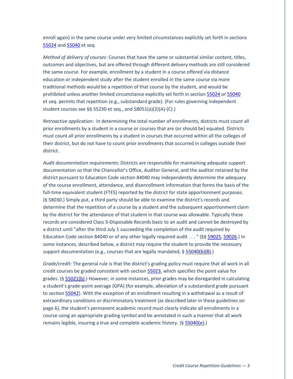enroll again) in the same course under very limited circumstances explicitly set forth in sections [55024](#page-39-0) an[d 55040](#page-41-1) et seq.

*Method of delivery of courses:* Courses that have the same or substantial similar content, titles, outcomes and objectives, but are offered through different delivery methods are still considered the same course. For example, enrollment by a student in a course offered via distance education or independent study after the student enrolled in the same course via more traditional methods would be a repetition of that course by the student, and would be prohibited unless another limited circumstance explicitly set forth in section [55024](#page-39-0) o[r 55040](#page-41-1) et seq. permits that repetition (e.g., substandard grade). (For rules governing independent student courses see §§ 55230 et seq., and 58051(a)(2)(A)-(C).)

*Retroactive application*: In determining the total number of enrollments, districts must count all prior enrollments by a student in a course or courses that are (or should be) equated. Districts must count all prior enrollments by a student in courses that occurred within all the colleges of their district, but do not have to count prior enrollments that occurred in colleges outside their district.

*Audit documentation requirements:* Districts are responsible for maintaining adequate support documentation so that the Chancellor's Office, Auditor General, and the auditor retained by the district pursuant to Education Code section 84040 may independently determine the adequacy of the course enrollment, attendance, and disenrollment information that forms the basis of the full-time equivalent student (FTES) reported by the district for state apportionment purposes. (§ 58030.) Simply put, a third party should be able to examine the district's records and determine that the repetition of a course by a student and the subsequent apportionment claim by the district for the attendance of that student in that course was allowable. Typically these records are considered Class 3-Disposable Records basic to an audit and cannot be destroyed by a district until "after the third July 1 succeeding the completion of the audit required by Education Code section 84040 or of any other legally required audit . . . " (§§ [59025,](#page-51-0) [59026.](#page-51-1)) In some instances, described below, a district may require the student to provide the necessary support documentation (e.g., courses that are legally mandated, § [55040\(b\)\(8\).](#page-41-3))

*Grade/credit:* The general rule is that the district's grading policy must require that all work in all credit courses be graded consistent with section [55023,](#page-36-0) which specifies the point value for grades. (§ [55021\(b\).](#page-36-4)) However, in some instances, prior grades may be disregarded in calculating a student's grade-point average (GPA) (for example, alleviation of a substandard grade pursuant to sectio[n 55042\)](#page-43-1). With the exception of an enrollment resulting in a withdrawal as a result of extraordinary conditions or discriminatory treatment (as described later in these guidelines on page 6), the student's permanent academic record must clearly indicate all enrollments in a course using an appropriate grading symbol and be annotated in such a manner that all work remains legible, insuring a true and complete academic history. (§ [55040\(e\).](#page-42-0))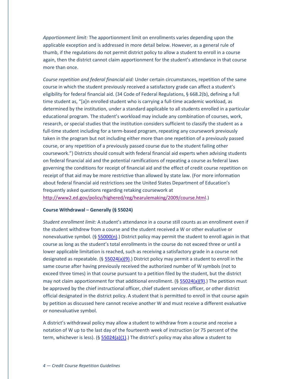*Apportionment limit:* The apportionment limit on enrollments varies depending upon the applicable exception and is addressed in more detail below. However, as a general rule of thumb, if the regulations do not permit district policy to allow a student to enroll in a course again, then the district cannot claim apportionment for the student's attendance in that course more than once.

*Course repetition and federal financial aid:* Under certain circumstances, repetition of the same course in which the student previously received a satisfactory grade can affect a student's eligibility for federal financial aid. (34 Code of Federal Regulations, § 668.2(b), defining a full time student as, "[a]n enrolled student who is carrying a full-time academic workload, as determined by the institution, under a standard applicable to all students enrolled in a particular educational program. The student's workload may include any combination of courses, work, research, or special studies that the institution considers sufficient to classify the student as a full-time student including for a term-based program, repeating any coursework previously taken in the program but not including either more than one repetition of a previously passed course, or any repetition of a previously passed course due to the student failing other coursework.") Districts should consult with federal financial aid experts when advising students on federal financial aid and the potential ramifications of repeating a course as federal laws governing the conditions for receipt of financial aid and the effect of credit course repetition on receipt of that aid may be more restrictive than allowed by state law. (For more information about federal financial aid restrictions see the United States Department of Education's frequently asked questions regarding retaking coursework at [http://www2.ed.gov/policy/highered/reg/hearulemaking/2009/course.html.](http://www2.ed.gov/policy/highered/reg/hearulemaking/2009/course.html))

#### <span id="page-8-0"></span>**Course Withdrawal – Generally (§ 55024)**

*Student enrollment limit:* A student's attendance in a course still counts as an enrollment even if the student withdrew from a course and the student received a W or other evaluative or nonevaluative symbol. (§ [55000\(n\).](#page-35-0)) District policy may permit the student to enroll again in that course as long as the student's total enrollments in the course do not exceed three or until a lower applicable limitation is reached, such as receiving a satisfactory grade in a course not designated as repeatable. (§  $55024(a)(9)$ .) District policy may permit a student to enroll in the same course after having previously received the authorized number of W symbols (not to exceed three times) in that course pursuant to a petition filed by the student, but the district may not claim apportionment for that additional enrollment.  $(§ 55024(a)(9).)$  $(§ 55024(a)(9).)$  $(§ 55024(a)(9).)$  The petition must be approved by the chief instructional officer, chief student services officer, or other district official designated in the district policy. A student that is permitted to enroll in that course again by petition as discussed here cannot receive another W and must receive a different evaluative or nonevaluative symbol.

A district's withdrawal policy may allow a student to withdraw from a course and receive a notation of W up to the last day of the fourteenth week of instruction (or 75 percent of the term, whichever is less). (§  $55024(a)(1)$ .) The district's policy may also allow a student to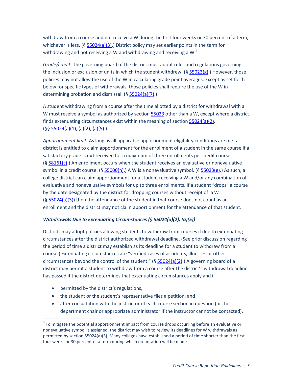withdraw from a course and not receive a W during the first four weeks or 30 percent of a term, whichever is less.  $(§ 55024(a)(3))$  District policy may set earlier points in the term for withdrawing and not receiving a W and withdrawing and receiving a W. $3$ 

*Grade/credit:* The governing board of the district must adopt rules and regulations governing the inclusion or exclusion of units in which the student withdrew. (§  $55023(g)$ .) However, those policies may not allow the use of the W in calculating grade point averages. Except as set forth below for specific types of withdrawals, those policies shall require the use of the W in determining probation and dismissal. (§ [55024\(a\)\(7\).](#page-39-3))

A student withdrawing from a course after the time allotted by a district for withdrawal with a W must receive a symbol as authorized by section [55023](#page-36-0) other than a W, except where a district finds extenuating circumstances exist within the meaning of section [55024\(a\)\(2\).](#page-39-4) (§§ [55024\(a\)\(1\),](#page-39-1) [\(a\)\(2\),](#page-39-4) [\(a\)\(5\).](#page-39-5))

*Apportionment limit:* As long as all applicable apportionment eligibility conditions are met a district is entitled to claim apportionment for the enrollment of a student in the same course if a satisfactory grade is **not** received for a maximum of three enrollments per credit course. (§ [58161\(c\).](#page-49-0)) An enrollment occurs when the student receives an evaluative or nonevaluative symbol in a credit course. (§ [55000\(n\).](#page-35-0)) A W is a nonevaluative symbol. ([§ 55023\(e\).](#page-37-1)) As such, a college district can claim apportionment for a student receiving a W and/or any combination of evaluative and nonevaluative symbols for up to three enrollments. If a student "drops" a course by the date designated by the district for dropping courses without receipt of a W  $(§ 55024(a)(3))$  $(§ 55024(a)(3))$  then the attendance of the student in that course does not count as an enrollment and the district may not claim apportionment for the attendance of that student.

#### <span id="page-9-0"></span>*Withdrawals Due to Extenuating Circumstances (§ 55024(a)(2), (a)(5))*

Districts may adopt policies allowing students to withdraw from courses if due to extenuating circumstances after the district authorized withdrawal deadline. (See prior discussion regarding the period of time a district may establish as its deadline for a student to withdraw from a course.) Extenuating circumstances are "verified cases of accidents, illnesses or other circumstances beyond the control of the student."  $(§ 55024(a)(2).)$  $(§ 55024(a)(2).)$  $(§ 55024(a)(2).)$  A governing board of a district may permit a student to withdraw from a course after the district's withdrawal deadline has passed if the district determines that extenuating circumstances apply and if

- permitted by the district's regulations,
- the student or the student's representative files a petition, and
- after consultation with the instructor of each course section in question (or the department chair or appropriate administrator if the instructor cannot be contacted).

<span id="page-9-1"></span><sup>&</sup>lt;sup>3</sup> To mitigate the potential apportionment impact from course drops occurring before an evaluative or nonevaluative symbol is assigned, the district may wish to review its deadlines for W withdrawals as permitted by section 55024(a)(3). Many colleges have established a period of time shorter than the first four weeks or 30 percent of a term during which no notation will be made.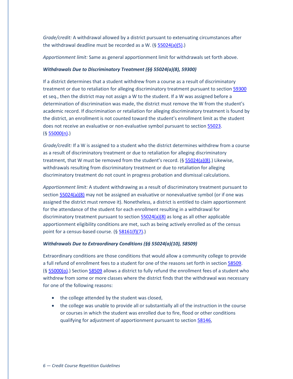*Grade/credit:* A withdrawal allowed by a district pursuant to extenuating circumstances after the withdrawal deadline must be recorded as a W.  $(§ 55024(a)(5).)$  $(§ 55024(a)(5).)$  $(§ 55024(a)(5).)$ 

*Apportionment limit:* Same as general apportionment limit for withdrawals set forth above.

#### <span id="page-10-0"></span>*Withdrawals Due to Discriminatory Treatment (§§ 55024(a)(8), 59300)*

If a district determines that a student withdrew from a course as a result of discriminatory treatment or due to retaliation for alleging discriminatory treatment pursuant to section 59300 et seq., then the district may not assign a W to the student. If a W was assigned before a determination of discrimination was made, the district must remove the W from the student's academic record. If discrimination or retaliation for alleging discriminatory treatment is found by the district, an enrollment is not counted toward the student's enrollment limit as the student does not receive an evaluative or non-evaluative symbol pursuant to sectio[n 55023.](#page-36-0)  $(§ 55000(n).)$  $(§ 55000(n).)$  $(§ 55000(n).)$ 

*Grade/credit:* If a W is assigned to a student who the district determines withdrew from a course as a result of discriminatory treatment or due to retaliation for alleging discriminatory treatment, that W must be removed from the student's record. (§ [55024\(a\)\(8\).](#page-39-6)) Likewise, withdrawals resulting from discriminatory treatment or due to retaliation for alleging discriminatory treatment do not count in progress probation and dismissal calculations.

*Apportionment limit:* A student withdrawing as a result of discriminatory treatment pursuant to sectio[n 55024\(a\)\(8\)](#page-39-6) may not be assigned an evaluative or nonevaluative symbol (or if one was assigned the district must remove it). Nonetheless, a district is entitled to claim apportionment for the attendance of the student for each enrollment resulting in a withdrawal for discriminatory treatment pursuant to section  $55024(a)(8)$  as long as all other applicable apportionment eligibility conditions are met, such as being actively enrolled as of the census point for a census-based course. ([§ 58161\(f\)\(7\).](#page-50-0))

#### <span id="page-10-1"></span>*Withdrawals Due to Extraordinary Conditions (§§ 55024(a)(10), 58509)*

Extraordinary conditions are those conditions that would allow a community college to provide a full refund of enrollment fees to a student for one of the reasons set forth in section [58509.](#page-51-2) (§ [55000\(o\).](#page-35-1)) Sectio[n 58509](#page-51-2) allows a district to fully refund the enrollment fees of a student who withdrew from some or more classes where the district finds that the withdrawal was necessary for one of the following reasons:

- the college attended by the student was closed,
- the college was unable to provide all or substantially all of the instruction in the course or courses in which the student was enrolled due to fire, flood or other conditions qualifying for adjustment of apportionment pursuant to section [58146,](#page-47-1)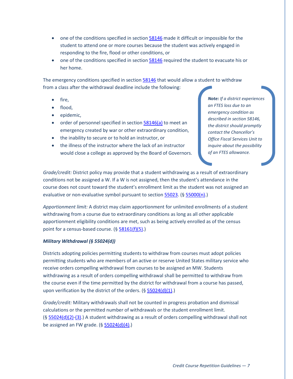- one of the conditions specified in sectio[n 58146](#page-47-1) made it difficult or impossible for the student to attend one or more courses because the student was actively engaged in responding to the fire, flood or other conditions, or
- one of the conditions specified in section  $\frac{58146}{2}$  required the student to evacuate his or her home.

The emergency conditions specified in section [58146](#page-47-1) that would allow a student to withdraw from a class after the withdrawal deadline include the following:

- fire,
- flood,
- epidemic,
- order of personnel specified in section  $\frac{58146(a)}{a}$  to meet an emergency created by war or other extraordinary condition,
- the inability to secure or to hold an instructor, or
- the illness of the instructor where the lack of an instructor would close a college as approved by the Board of Governors.

*Note: If a district experiences an FTES loss due to an emergency condition as described in section 58146, the district should promptly contact the Chancellor's Office Fiscal Services Unit to inquire about the possibility of an FTES allowance.*

*Grade/credit:* District policy may provide that a student withdrawing as a result of extraordinary conditions not be assigned a W. If a W is not assigned, then the student's attendance in the course does not count toward the student's enrollment limit as the student was not assigned an evaluative or non-evaluative symbol pursuant to sectio[n 55023.](#page-36-0) (§ [55000\(n\).](#page-35-0))

*Apportionment limit:* A district may claim apportionment for unlimited enrollments of a student withdrawing from a course due to extraordinary conditions as long as all other applicable apportionment eligibility conditions are met, such as being actively enrolled as of the census point for a census-based course. (§ [58161\(f\)\(5\).](#page-50-1))

#### <span id="page-11-0"></span>*Military Withdrawal (§ 55024(d))*

Districts adopting policies permitting students to withdraw from courses must adopt policies permitting students who are members of an active or reserve United States military service who receive orders compelling withdrawal from courses to be assigned an MW. Students withdrawing as a result of orders compelling withdrawal shall be permitted to withdraw from the course even if the time permitted by the district for withdrawal from a course has passed, upon verification by the district of the orders.  $(§ 55024(d)(1).)$  $(§ 55024(d)(1).)$  $(§ 55024(d)(1).)$ 

*Grade/credit:* Military withdrawals shall not be counted in progress probation and dismissal calculations or the permitted number of withdrawals or the student enrollment limit.  $(§ 55024(d)(2)-(3).)$  $(§ 55024(d)(2)-(3).)$  $(§ 55024(d)(2)-(3).)$  $(§ 55024(d)(2)-(3).)$  A student withdrawing as a result of orders compelling withdrawal shall not be assigned an FW grade.  $(§ 55024(d)(4))$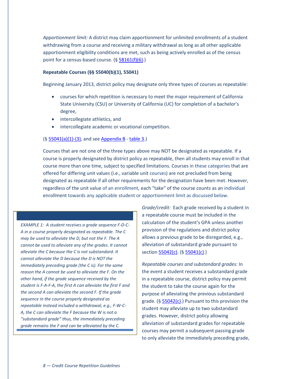*Apportionment limit:* A district may claim apportionment for unlimited enrollments of a student withdrawing from a course and receiving a military withdrawal as long as all other applicable apportionment eligibility conditions are met, such as being actively enrolled as of the census point for a census-based course.  $(§ 58161(f)(6).)$  $(§ 58161(f)(6).)$  $(§ 58161(f)(6).)$ 

#### <span id="page-12-0"></span>**Repeatable Courses (§§ 55040(b)(1), 55041)**

Beginning January 2013, district policy may designate only three types of courses as repeatable:

- courses for which repetition is necessary to meet the major requirement of California State University (CSU) or University of California (UC) for completion of a bachelor's degree,
- intercollegiate athletics, and
- intercollegiate academic or vocational competition.

#### (§ [55041\(a\)\(1\)-\(3\),](#page-42-1) and see [Appendix B](#page-53-0) - [table 3.](#page-59-0))

Courses that are not one of the three types above may NOT be designated as repeatable. If a course is properly designated by district policy as repeatable, then all students may enroll in that course more than one time, subject to specified limitations. Courses in these categories that are offered for differing unit values (i.e., variable unit courses) are not precluded from being designated as repeatable if all other requirements for the designation have been met. However, regardless of the unit value of an enrollment, each "take" of the course counts as an individual enrollment towards any applicable student or apportionment limit as discussed below.

*EXAMPLE 1: A student receives a grade sequence F-D-C-A in a course properly designated as repeatable. The C may be used to alleviate the D, but not the F. The A cannot be used to alleviate any of the grades. It cannot alleviate the C because the C is not substandard. It cannot alleviate the D because the D is NOT the immediately preceding grade (the C is). For the same reason the A cannot be used to alleviate the F. On the other hand, if the grade sequence received by the student is F-A-F-A, the first A can alleviate the first F and the second A can alleviate the second F. If the grade sequence in the course properly designated as repeatable instead included a withdrawal, e.g., F-W-C-A, the C can alleviate the F because the W is not a "substandard grade" thus, the immediately preceding grade remains the F and can be alleviated by the C.*

*Grade/credit:* Each grade received by a student in a repeatable course must be included in the calculation of the student's GPA unless another provision of the regulations and district policy allows a previous grade to be disregarded, e.g., alleviation of substandard grade pursuant to section [55042\(c\).](#page-43-2) (§ [55041\(c\).](#page-43-3))

*Repeatable courses and substandard grades:* In the event a student receives a substandard grade in a repeatable course, district policy may permit the student to take the course again for the purpose of alleviating the previous substandard grade. ( $\S$  [55042\(c\).](#page-43-2)) Pursuant to this provision the student may alleviate up to two substandard grades. However, district policy allowing alleviation of substandard grades for repeatable courses may permit a subsequent passing grade to only alleviate the immediately preceding grade,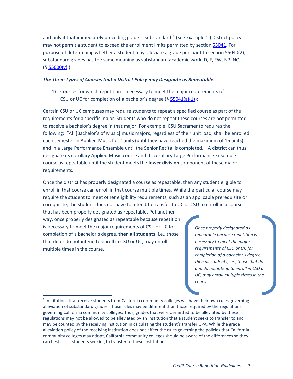and only if that immediately preceding grade is substandard.<sup>[4](#page-9-1)</sup> (See Example 1.) District policy may not permit a student to exceed the enrollment limits permitted by sectio[n 55041.](#page-42-2) For purpose of determining whether a student may alleviate a grade pursuant to section 55040(2), substandard grades has the same meaning as substandard academic work, D, F, FW, NP, NC.  $(§ 55000(y).)$  $(§ 55000(y).)$  $(§ 55000(y).)$ 

#### <span id="page-13-0"></span>*The Three Types of Courses that a District Policy may Designate as Repeatable:*

1) Courses for which repetition is necessary to meet the major requirements of CSU or UC for completion of a bachelor's degree (§ [55041\(a\)\(1\)\)](#page-42-3):

Certain CSU or UC campuses may require students to repeat a specified course as part of the requirements for a specific major. Students who do not repeat these courses are not permitted to receive a bachelor's degree in that major. For example, CSU Sacramento requires the following: "All [Bachelor's of Music] music majors, regardless of their unit load, shall be enrolled each semester in Applied Music for 2 units (until they have reached the maximum of 16 units), and in a Large Performance Ensemble until the Senior Recital is completed." A district can thus designate its corollary Applied Music course and its corollary Large Performance Ensemble course as repeatable until the student meets the **lower division** component of these major requirements.

Once the district has properly designated a course as repeatable, then any student eligible to enroll in that course can enroll in that course multiple times. While the particular course may require the student to meet other eligibility requirements, such as an applicable prerequisite or corequisite, the student does not have to intend to transfer to UC or CSU to enroll in a course

that has been properly designated as repeatable. Put another way, once properly designated as repeatable because repetition is necessary to meet the major requirements of CSU or UC for completion of a bachelor's degree, **then all students**, i.e., those that do or do not intend to enroll in CSU or UC, may enroll multiple times in the course.

*Once properly designated as repeatable because repetition is necessary to meet the major requirements of CSU or UC for completion of a bachelor's degree, then all students, i.e., those that do and do not intend to enroll in CSU or UC, may enroll multiple times in the course.*

<span id="page-13-1"></span><sup>&</sup>lt;sup>4</sup> Institutions that receive students from California community colleges will have their own rules governing alleviation of substandard grades. Those rules may be different than those required by the regulations governing California community colleges. Thus, grades that were permitted to be alleviated by these regulations may not be allowed to be alleviated by an institution that a student seeks to transfer to and may be counted by the receiving institution in calculating the student's transfer GPA. While the grade alleviation policy of the receiving institution does not affect the rules governing the policies that California community colleges may adopt, California community colleges should be aware of the differences so they can best assist students seeking to transfer to these institutions.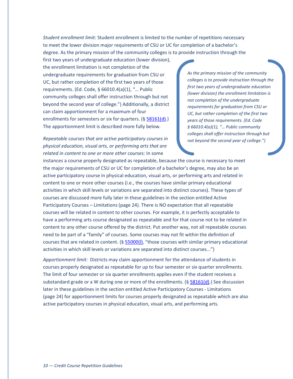*Student enrollment limit:* Student enrollment is limited to the number of repetitions necessary to meet the lower division major requirements of CSU or UC for completion of a bachelor's degree. As the primary mission of the community colleges is to provide instruction through the

first two years of undergraduate education (lower division), the enrollment limitation is not completion of the undergraduate requirements for graduation from CSU or UC, but rather completion of the first two years of those requirements. (Ed. Code, § 66010.4(a)(1), "… Public community colleges shall offer instruction through but not beyond the second year of college.") Additionally, a district can claim apportionment for a maximum of four enrollments for semesters or six for quarters. (§ [58161\(d\).](#page-49-1)) The apportionment limit is described more fully below.

# *Repeatable courses that are active participatory courses in physical education, visual arts, or performing arts that are related in content to one or more other courses:* In some

*As the primary mission of the community colleges is to provide instruction through the first two years of undergraduate education (lower division) the enrollment limitation is not completion of the undergraduate requirements for graduation from CSU or UC, but rather completion of the first two years of those requirements. (Ed. Code § 66010.4(a)(1), "… Public community colleges shall offer instruction through but not beyond the second year of college.")*

instances a course properly designated as repeatable, because the course is necessary to meet the major requirements of CSU or UC for completion of a bachelor's degree, may also be an active participatory course in physical education, visual arts, or performing arts and related in content to one or more other courses (i.e., the courses have similar primary educational activities in which skill levels or variations are separated into distinct courses). These types of courses are discussed more fully later in these guidelines in the section entitled Active Participatory Courses – Limitations (page 24). There is NO expectation that all repeatable courses will be related in content to other courses. For example, it is perfectly acceptable to have a performing arts course designated as repeatable and for that course not to be related in content to any other course offered by the district. Put another way, not all repeatable courses need to be part of a "family" of courses. Some courses may not fit within the definition of courses that are related in content. (§ 55000(I), "those courses with similar primary educational activities in which skill levels or variations are separated into distinct courses...")

*Apportionment limit:* Districts may claim apportionment for the attendance of students in courses properly designated as repeatable for up to four semester or six quarter enrollments. The limit of four semester or six quarter enrollments applies even if the student receives a substandard grade or a W during one or more of the enrollments.  $(§ 58161(d).)$  $(§ 58161(d).)$  $(§ 58161(d).)$  See discussion later in these guidelines in the section entitled Active Participatory Courses - Limitations (page 24) for apportionment limits for courses properly designated as repeatable which are also active participatory courses in physical education, visual arts, and performing arts.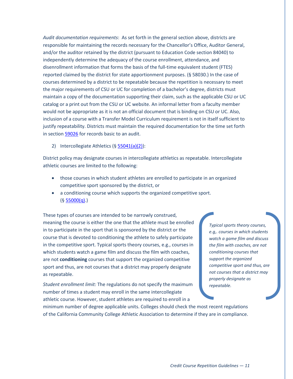*Audit documentation requirements*: As set forth in the general section above, districts are responsible for maintaining the records necessary for the Chancellor's Office, Auditor General, and/or the auditor retained by the district (pursuant to Education Code section 84040) to independently determine the adequacy of the course enrollment, attendance, and disenrollment information that forms the basis of the full-time equivalent student (FTES) reported claimed by the district for state apportionment purposes. (§ 58030.) In the case of courses determined by a district to be repeatable because the repetition is necessary to meet the major requirements of CSU or UC for completion of a bachelor's degree, districts must maintain a copy of the documentation supporting their claim, such as the applicable CSU or UC catalog or a print out from the CSU or UC website. An informal letter from a faculty member would not be appropriate as it is not an official document that is binding on CSU or UC. Also, inclusion of a course with a Transfer Model Curriculum requirement is not in itself sufficient to justify repeatability. Districts must maintain the required documentation for the time set forth in sectio[n 59026](#page-51-1) for records basic to an audit.

2) Intercollegiate Athletics (§ [55041\(a\)\(2\)\)](#page-42-4):

District policy may designate courses in intercollegiate athletics as repeatable. Intercollegiate athletic courses are limited to the following:

- those courses in which student athletes are enrolled to participate in an organized competitive sport sponsored by the district, or
- a conditioning course which supports the organized competitive sport.  $(§ 55000(q).)$  $(§ 55000(q).)$  $(§ 55000(q).)$

These types of courses are intended to be narrowly construed, meaning the course is either the one that the athlete must be enrolled in to participate in the sport that is sponsored by the district or the course that is devoted to conditioning the athlete to safely participate in the competitive sport. Typical sports theory courses, e.g., courses in which students watch a game film and discuss the film with coaches, are not **conditioning** courses that support the organized competitive sport and thus, are not courses that a district may properly designate as repeatable.

*Student enrollment limit:* The regulations do not specify the maximum number of times a student may enroll in the same intercollegiate athletic course. However, student athletes are required to enroll in a

*Typical sports theory courses, e.g,. courses in which students watch a game film and discuss the film with coaches, are not conditioning courses that support the organized competitive sport and thus, are not courses that a district may properly designate as repeatable.*

minimum number of degree applicable units. Colleges should check the most recent regulations of the California Community College Athletic Association to determine if they are in compliance.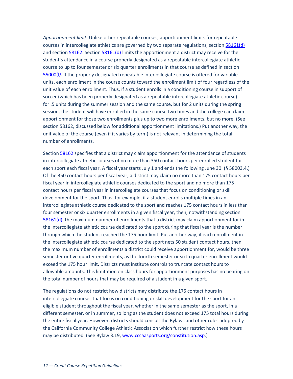*Apportionment limit:* Unlike other repeatable courses, apportionment limits for repeatable courses in intercollegiate athletics are governed by two separate regulations, section [58161\(d\)](#page-49-1)  and section [58162.](#page-50-3) Sectio[n 58161\(d\)](#page-49-1) limits the apportionment a district may receive for the student's attendance in a course properly designated as a repeatable intercollegiate athletic course to up to four semester or six quarter enrollments in that course as defined in section [55000\(l](#page-35-2)*)*. If the properly designated repeatable intercollegiate course is offered for variable units, each enrollment in the course counts toward the enrollment limit of four regardless of the unit value of each enrollment. Thus, if a student enrolls in a conditioning course in support of soccer (which has been properly designated as a repeatable intercollegiate athletic course) for .5 units during the summer session and the same course, but for 2 units during the spring session, the student will have enrolled in the same course two times and the college can claim apportionment for those two enrollments plus up to two more enrollments, but no more. (See section 58162, discussed below for additional apportionment limitations.) Put another way, the unit value of the course (even if it varies by term) is not relevant in determining the total number of enrollments.

Sectio[n 58162](#page-50-3) specifies that a district may claim apportionment for the attendance of students in intercollegiate athletic courses of no more than 350 contact hours per enrolled student for each sport each fiscal year. A fiscal year starts July 1 and ends the following June 30. (§ 58003.4.) Of the 350 contact hours per fiscal year, a district may claim no more than 175 contact hours per fiscal year in intercollegiate athletic courses dedicated to the sport and no more than 175 contact hours per fiscal year in intercollegiate courses that focus on conditioning or skill development for the sport. Thus, for example, if a student enrolls multiple times in an intercollegiate athletic course dedicated to the sport and reaches 175 contact hours in less than four semester or six quarter enrollments in a given fiscal year, then, notwithstanding section [58161\(d\),](#page-49-1) the maximum number of enrollments that a district may claim apportionment for in the intercollegiate athletic course dedicated to the sport during that fiscal year is the number through which the student reached the 175 hour limit. Put another way, if each enrollment in the intercollegiate athletic course dedicated to the sport nets 50 student contact hours, then the maximum number of enrollments a district could receive apportionment for, would be three semester or five quarter enrollments, as the fourth semester or sixth quarter enrollment would exceed the 175 hour limit. Districts must institute controls to truncate contact hours to allowable amounts. This limitation on class hours for apportionment purposes has no bearing on the total number of hours that may be required of a student in a given sport.

The regulations do not restrict how districts may distribute the 175 contact hours in intercollegiate courses that focus on conditioning or skill development for the sport for an eligible student throughout the fiscal year, whether in the same semester as the sport, in a different semester, or in summer, so long as the student does not exceed 175 total hours during the entire fiscal year. However, districts should consult the Bylaws and other rules adopted by the California Community College Athletic Association which further restrict how these hours may be distributed. (See Bylaw 3.19[, www.cccaasports.org/constitution.asp.](http://www.cccaasports.org/constitution.asp))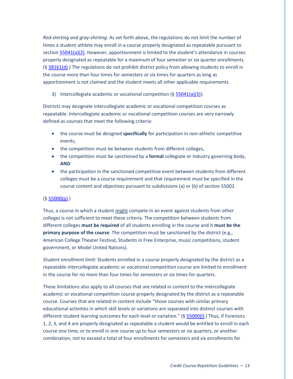*Red-shirting and gray-shirting*: As set forth above, the regulations do not limit the number of times a student athlete may enroll in a course properly designated as repeatable pursuant to sectio[n 55041\(a\)\(2\).](#page-42-4) However, apportionment is limited to the student's attendance in courses properly designated as repeatable for a maximum of four semester or six quarter enrollments. (§ [58161\(d\).](#page-49-1)) The regulations do not prohibit district policy from allowing students to enroll in the course more than four times for semesters or six times for quarters as long as apportionment is not claimed and the student meets all other applicable requirements.

3) Intercollegiate academic or vocational competition (§ [55041\(a\)\(3\)\)](#page-42-5):

Districts may designate intercollegiate academic or vocational competition courses as repeatable. Intercollegiate academic or vocational competition courses are very narrowly defined as courses that meet the following criteria:

- the course must be designed **specifically** for participation in non-athletic competitive events,
- the competition must be between students from different colleges,
- the competition must be sanctioned by a **formal** collegiate or industry governing body, **AND**
- the participation in the sanctioned competitive event between students from different colleges must be a course requirement and that requirement must be specified in the course content and objectives pursuant to subdivisions (a) or (b) of section 55002.

## $($ § [55000\(p\).](#page-35-4))

Thus, a course in which a student might compete in an event against students from other colleges is not sufficient to meet these criteria. The competition between students from different colleges **must be required** of all students enrolling in the course and it **must be the primary purpose of the course**. The competition must be sanctioned by the district (e.g., American College Theater Festival, Students in Free Enterprise, music competitions, student government, or Model United Nations).

*Student enrollment limit:* Students enrolled in a course properly designated by the district as a repeatable intercollegiate academic or vocational competition course are limited to enrollment in the course for no more than four times for semesters or six times for quarters.

These limitations also apply to all courses that are related in content to the intercollegiate academic or vocational competition course properly designated by the district as a repeatable course. Courses that are related in content include "those courses with similar primary educational activities in which skill levels or variations are separated into distinct courses with different student learning outcomes for each level or variation." (§ 55000(I).) Thus, if Forensics 1, 2, 3, and 4 are properly designated as repeatable a student would be entitled to enroll in each course one time, or to enroll in one course up to four semesters or six quarters, or another combination, not to exceed a total of four enrollments for semesters and six enrollments for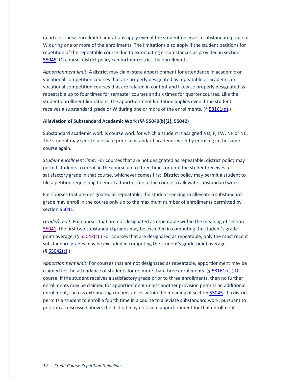quarters. These enrollment limitations apply even if the student receives a substandard grade or W during one or more of the enrollments. The limitations also apply if the student petitions for repetition of the repeatable course due to extenuating circumstances as provided in section [55045.](#page-45-0) Of course, district policy can further restrict the enrollments.

*Apportionment limit*: A district may claim state apportionment for attendance in academic or vocational competition courses that are properly designated as repeatable or academic or vocational competition courses that are related in content and likewise properly designated as repeatable up to four times for semester courses and six times for quarter courses. Like the student enrollment limitations, the apportionment limitation applies even if the student receives a substandard grade or W during one or more of the enrollments.  $(§ 58161(d).)$  $(§ 58161(d).)$  $(§ 58161(d).)$ 

#### **Alleviation of Substandard Academic Work (§§ 55040(b)(2), 55042)**

Substandard academic work is course work for which a student is assigned a D, F, FW, NP or NC. The student may seek to alleviate prior substandard academic work by enrolling in the same course again.

*Student enrollment limit:* For courses that are not designated as repeatable, district policy may permit students to enroll in the course up to three times or until the student receives a satisfactory grade in that course, whichever comes first. District policy may permit a student to file a petition requesting to enroll a fourth time in the course to alleviate substandard work.

For courses that are designated as repeatable, the student seeking to alleviate a substandard grade may enroll in the course only up to the maximum number of enrollments permitted by sectio[n 55041.](#page-42-2)

*Grade/credit:* For courses that are not designated as repeatable within the meaning of section [55041,](#page-42-2) the first two substandard grades may be excluded in computing the student's gradepoint average. (§ [55042\(c\).](#page-43-2)) For courses that are designated as repeatable, only the most recent substandard grades may be excluded in computing the student's grade-point average.  $(§ 55042(c).)$  $(§ 55042(c).)$  $(§ 55042(c).)$ 

*Apportionment limit:* For courses that are not designated as repeatable, apportionment may be claimed for the attendance of students for no more than three enrollments. (§ [58161\(c\).](#page-49-0)) Of course, if the student receives a satisfactory grade prior to three enrollments, then no further enrollments may be claimed for apportionment unless another provision permits an additional enrollment, such as extenuating circumstances within the meaning of sectio[n 55045.](#page-45-0) If a district permits a student to enroll a fourth time in a course to alleviate substandard work, pursuant to petition as discussed above, the district may not claim apportionment for that enrollment.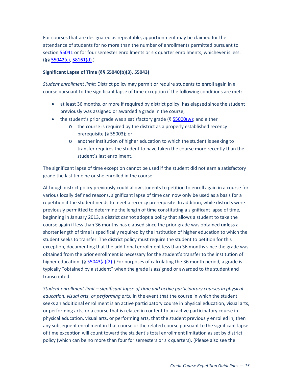For courses that are designated as repeatable, apportionment may be claimed for the attendance of students for no more than the number of enrollments permitted pursuant to sectio[n 55041](#page-42-2) or for four semester enrollments or six quarter enrollments, whichever is less. (§§ [55042\(c\),](#page-43-2) [58161\(d\).](#page-49-1))

#### <span id="page-19-0"></span>**Significant Lapse of Time (§§ 55040(b)(3), 55043)**

*Student enrollment limit:* District policy may permit or require students to enroll again in a course pursuant to the significant lapse of time exception if the following conditions are met:

- at least 36 months, or more if required by district policy, has elapsed since the student previously was assigned or awarded a grade in the course;
- the student's prior grade was a satisfactory grade ( $\S$  [55000\(w\);](#page-36-2) and either
	- o the course is required by the district as a properly established recency prerequisite (§ 55003); or
	- o another institution of higher education to which the student is seeking to transfer requires the student to have taken the course more recently than the student's last enrollment.

The significant lapse of time exception cannot be used if the student did not earn a satisfactory grade the last time he or she enrolled in the course.

Although district policy previously could allow students to petition to enroll again in a course for various locally defined reasons, significant lapse of time can now only be used as a basis for a repetition if the student needs to meet a recency prerequisite. In addition, while districts were previously permitted to determine the length of time constituting a significant lapse of time, beginning in January 2013, a district cannot adopt a policy that allows a student to take the course again if less than 36 months has elapsed since the prior grade was obtained **unless** a shorter length of time is specifically required by the institution of higher education to which the student seeks to transfer. The district policy must require the student to petition for this exception, documenting that the additional enrollment less than 36 months since the grade was obtained from the prior enrollment is necessary for the student's transfer to the institution of higher education. (§  $55043(a)(2)$ .) For purposes of calculating the 36 month period, a grade is typically "obtained by a student" when the grade is assigned or awarded to the student and transcripted.

*Student enrollment limit – significant lapse of time and active participatory courses in physical education, visual arts, or performing arts:* In the event that the course in which the student seeks an additional enrollment is an active participatory course in physical education, visual arts, or performing arts, or a course that is related in content to an active participatory course in physical education, visual arts, or performing arts, that the student previously enrolled in, then any subsequent enrollment in that course or the related course pursuant to the significant lapse of time exception will count toward the student's total enrollment limitation as set by district policy (which can be no more than four for semesters or six quarters). (Please also see the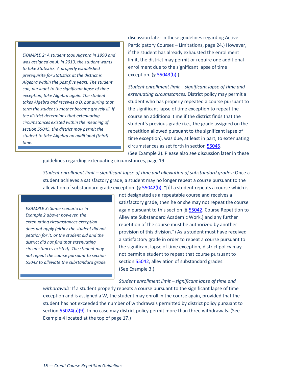*EXAMPLE 2: A student took Algebra in 1990 and was assigned an A. In 2013, the student wants to take Statistics. A properly established prerequisite for Statistics at the district is Algebra within the past five years. The student can, pursuant to the significant lapse of time exception, take Algebra again. The student takes Algebra and receives a D, but during that term the student's mother became gravely ill. If the district determines that extenuating circumstances existed within the meaning of section 55045, the district may permit the student to take Algebra an additional (third) time.* 

discussion later in these guidelines regarding Active Participatory Courses – Limitations, page 24.) However, if the student has already exhausted the enrollment limit, the district may permit or require one additional enrollment due to the significant lapse of time exception. (§ [55043\(b\).](#page-44-1))

*Student enrollment limit – significant lapse of time and extenuating circumstances:* District policy may permit a student who has properly repeated a course pursuant to the significant lapse of time exception to repeat the course an additional time if the district finds that the student's previous grade (i.e., the grade assigned on the repetition allowed pursuant to the significant lapse of time exception), was due, at least in part, to extenuating circumstances as set forth in section [55045.](#page-45-0)

(See Example 2). Please also see discussion later in these

guidelines regarding extenuating circumstances, page 19.

*Student enrollment limit – significant lapse of time and alleviation of substandard grades:* Once a student achieves a satisfactory grade, a student may no longer repeat a course pursuant to the alleviation of substandard grade exception.  $(\S 55042(b), "[i]f a student repeats a course which is$  $(\S 55042(b), "[i]f a student repeats a course which is$  $(\S 55042(b), "[i]f a student repeats a course which is$ 

*EXAMPLE 3: Same scenario as in Example 2 above; however, the extenuating circumstances exception does not apply (either the student did not petition for it, or the student did and the district did not find that extenuating circumstances existed). The student may not repeat the course pursuant to section 55042 to alleviate the substandard grade.* not designated as a repeatable course and receives a satisfactory grade, then he or she may not repeat the course again pursuant to this section [§ [55042.](#page-43-1) Course Repetition to Alleviate Substandard Academic Work.] and any further repetition of the course must be authorized by another provision of this division.") As a student must have received a satisfactory grade in order to repeat a course pursuant to the significant lapse of time exception, district policy may not permit a student to repeat that course pursuant to section [55042,](#page-43-1) alleviation of substandard grades. (See Example 3.)

*Student enrollment limit – significant lapse of time and* 

*withdrawals:* If a student properly repeats a course pursuant to the significant lapse of time exception and is assigned a W, the student may enroll in the course again, provided that the student has not exceeded the number of withdrawals permitted by district policy pursuant to sectio[n 55024\(a\)\(9\).](#page-40-0) In no case may district policy permit more than three withdrawals. (See Example 4 located at the top of page 17.)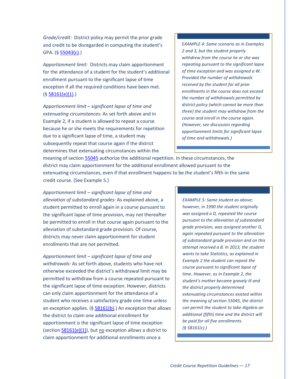*Grade/credit:* District policy may permit the prior grade and credit to be disregarded in computing the student's GPA. ([§ 55043\(c\).](#page-44-2))

*Apportionment limit:* Districts may claim apportionment for the attendance of a student for the student's additional enrollment pursuant to the significant lapse of time exception if all the required conditions have been met. (§ [58161\(e\)\(1\).](#page-49-2))

*Apportionment limit – significant lapse of time and extenuating circumstances:* As set forth above and in Example 2, if a student is allowed to repeat a course because he or she meets the requirements for repetition due to a significant lapse of time, a student may subsequently repeat that course again if the district determines that extenuating circumstances within the

*EXAMPLE 4: Same scenario as in Examples 2 and 3, but the student properly withdrew from the course he or she was repeating pursuant to the significant lapse of time exception and was assigned a W. Provided the number of withdrawals received by the student for all prior enrollments in the course does not exceed the number of withdrawals permitted by district policy (which cannot be more than three) the student may withdraw from the course and enroll in the course again. (However, see discussion regarding apportionment limits for significant lapse of time and withdrawals.)*

meaning of sectio[n 55045](#page-45-0) authorize the additional repetition. In these circumstances, the district may claim apportionment for the additional enrollment allowed pursuant to the extenuating circumstances, even if that enrollment happens to be the student's fifth in the same credit course. (See Example 5.)

*Apportionment limit – significant lapse of time and alleviation of substandard grades:* As explained above, a student permitted to enroll again in a course pursuant to the significant lapse of time provision, may not thereafter be permitted to enroll in that course again pursuant to the alleviation of substandard grade provision. Of course, districts may never claim apportionment for student enrollments that are not permitted.

*Apportionment limit – significant lapse of time and withdrawals:* As set forth above, students who have not otherwise exceeded the district's withdrawal limit may be permitted to withdraw from a course repeated pursuant to the significant lapse of time exception. However, districts can only claim apportionment for the attendance of a student who receives a satisfactory grade one time unless an exception applies. (§  $58161(b)$ .) An exception that allows the district to claim one additional enrollment for apportionment is the significant lapse of time exception (section  $58161(e)(1)$ ), but no exception allows a district to claim apportionment for additional enrollments once a

*EXAMPLE 5: Same student as above; however, in 1990 the student originally was assigned a D, repeated the course pursuant to the alleviation of substandard grade provision, was assigned another D, again repeated pursuant to the alleviation of substandard grade provision and on this attempt received a B. In 2013, the student wants to take Statistics, as explained in Example 2 the student can repeat the course pursuant to significant lapse of time. However, as in Example 2, the student's mother became gravely ill and the district properly determined extenuating circumstances existed within the meaning of section 55045, the district can permit the student to take Algebra an additional (fifth) time and the district will be paid for all five enrollments. (§ 58161(c).)*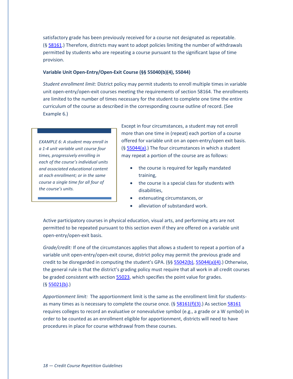satisfactory grade has been previously received for a course not designated as repeatable. (§ [58161.](#page-48-0)) Therefore, districts may want to adopt policies limiting the number of withdrawals permitted by students who are repeating a course pursuant to the significant lapse of time provision.

#### **Variable Unit Open-Entry/Open-Exit Course (§§ 55040(b)(4), 55044)**

*Student enrollment limit:* District policy may permit students to enroll multiple times in variable unit open-entry/open-exit courses meeting the requirements of section 58164. The enrollments are limited to the number of times necessary for the student to complete one time the entire curriculum of the course as described in the corresponding course outline of record. (See Example 6.)

*EXAMPLE 6: A student may enroll in a 1-4 unit variable unit course four times, progressively enrolling in each of the course's individual units and associated educational content at each enrollment; or in the same course a single time for all four of the course's units.*

Except in four circumstances, a student may not enroll more than one time in (repeat) each portion of a course offered for variable unit on an open-entry/open exit basis. (§ [55044\(a\).](#page-44-3)) The four circumstances in which a student may repeat a portion of the course are as follows:

- the course is required for legally mandated training,
- the course is a special class for students with disabilities,
- extenuating circumstances, or
- alleviation of substandard work.

Active participatory courses in physical education, visual arts, and performing arts are not permitted to be repeated pursuant to this section even if they are offered on a variable unit open-entry/open-exit basis.

*Grade/credit:* If one of the circumstances applies that allows a student to repeat a portion of a variable unit open-entry/open-exit course, district policy may permit the previous grade and credit to be disregarded in computing the student's GPA. (§§ [55042\(b\),](#page-43-0) [55044\(a\)\(4\).](#page-45-1)) Otherwise, the general rule is that the district's grading policy must require that all work in all credit courses be graded consistent with section [55023,](#page-36-0) which specifies the point value for grades.  $(§ 55021(b).)$  $(§ 55021(b).)$  $(§ 55021(b).)$ 

*Apportionment limit:* The apportionment limit is the same as the enrollment limit for studentsas many times as is necessary to complete the course once.  $(§ 58161(f)(3)$  $(§ 58161(f)(3)$  $(§ 58161(f)(3)$ . As section 58161 requires colleges to record an evaluative or nonevalutive symbol (e.g., a grade or a W symbol) in order to be counted as an enrollment eligible for apportionment, districts will need to have procedures in place for course withdrawal from these courses.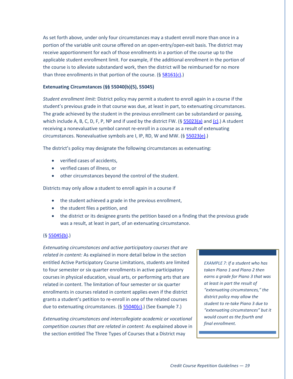As set forth above, under only four circumstances may a student enroll more than once in a portion of the variable unit course offered on an open-entry/open-exit basis. The district may receive apportionment for each of those enrollments in a portion of the course up to the applicable student enrollment limit. For example, if the additional enrollment in the portion of the course is to alleviate substandard work, then the district will be reimbursed for no more than three enrollments in that portion of the course.  $(§ 58161(c).)$  $(§ 58161(c).)$  $(§ 58161(c).)$ 

#### **Extenuating Circumstances (§§ 55040(b)(5), 55045)**

*Student enrollment limit:* District policy may permit a student to enroll again in a course if the student's previous grade in that course was due, at least in part, to extenuating circumstances. The grade achieved by the student in the previous enrollment can be substandard or passing, which include A, B, C, D, F, P, NP and if used by the district FW. ([§ 55023\(a\)](#page-36-1) and [\(c\).](#page-37-0)) A student receiving a nonevaluative symbol cannot re-enroll in a course as a result of extenuating circumstances. Nonevaluative symbols are I, IP, RD, W and MW. (§ [55023\(e\).](#page-37-1))

The district's policy may designate the following circumstances as extenuating:

- verified cases of accidents,
- verified cases of illness, or
- other circumstances beyond the control of the student.

Districts may only allow a student to enroll again in a course if

- the student achieved a grade in the previous enrollment,
- the student files a petition, and
- the district or its designee grants the petition based on a finding that the previous grade was a result, at least in part, of an extenuating circumstance.

#### $($ § [55045\(b\).](#page-45-2))

*Extenuating circumstances and active participatory courses that are related in content:* As explained in more detail below in the section entitled Active Participatory Course Limitations, students are limited to four semester or six quarter enrollments in active participatory courses in physical education, visual arts, or performing arts that are related in content. The limitation of four semester or six quarter enrollments in courses related in content applies even if the district grants a student's petition to re-enroll in one of the related courses due to extenuating circumstances. (§ [55040\(c\).](#page-42-6)) (See Example 7.)

*Extenuating circumstances and intercollegiate academic or vocational competition courses that are related in content:* As explained above in the section entitled The Three Types of Courses that a District may

*EXAMPLE 7: If a student who has taken Piano 1 and Piano 2 then earns a grade for Piano 3 that was at least in part the result of "extenuating circumstances," the district policy may allow the student to re-take Piano 3 due to "extenuating circumstances" but it would count as the fourth and final enrollment.*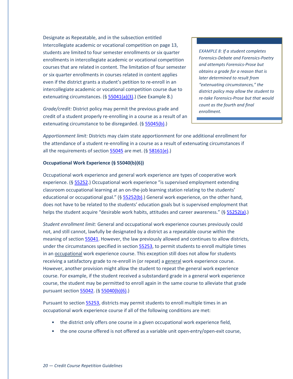Designate as Repeatable, and in the subsection entitled Intercollegiate academic or vocational competition on page 13, students are limited to four semester enrollments or six quarter enrollments in intercollegiate academic or vocational competition courses that are related in content. The limitation of four semester or six quarter enrollments in courses related in content applies even if the district grants a student's petition to re-enroll in an intercollegiate academic or vocational competition course due to extenuating circumstances. (§ [55041\(a\)\(3\).](#page-42-5)) (See Example 8.)

*Grade/credit:* District policy may permit the previous grade and credit of a student properly re-enrolling in a course as a result of an extenuating circumstance to be disregarded. (§ [55045\(b\).](#page-45-2))

*EXAMPLE 8: If a student completes Forensics-Debate and Forensics-Poetry and attempts Forensics-Prose but obtains a grade for a reason that is later determined to result from "extenuating circumstances," the district policy may allow the student to re-take Forensics-Prose but that would count as the fourth and final enrollment.*

*Apportionment limit:* Districts may claim state apportionment for one additional enrollment for the attendance of a student re-enrolling in a course as a result of extenuating circumstances if all the requirements of section [55045](#page-45-0) are met. (§ [58161\(e\).](#page-49-4))

#### **Occupational Work Experience (§ 55040(b)(6))**

Occupational work experience and general work experience are types of cooperative work experience. (§ [55252.](#page-46-0)) Occupational work experience "is supervised employment extending classroom occupational learning at an on-the-job learning station relating to the students' educational or occupational goal." (§ [55252\(b\).](#page-46-1)) General work experience, on the other hand, does not have to be related to the students' education goals but is supervised employment that helps the student acquire "desirable work habits, attitudes and career awareness." (§ [55252\(a\).](#page-46-2))

*Student enrollment limit:* General and occupational work experience courses previously could not, and still cannot, lawfully be designated by a district as a repeatable course within the meaning of sectio[n 55041.](#page-42-2) However, the law previously allowed and continues to allow districts, under the circumstances specified in sectio[n 55253,](#page-46-3) to permit students to enroll multiple times in an occupational work experience course. This exception still does not allow for students receiving a satisfactory grade to re-enroll in (or repeat) a general work experience course. However, another provision might allow the student to repeat the general work experience course. For example, if the student received a substandard grade in a general work experience course, the student may be permitted to enroll again in the same course to alleviate that grade pursuant sectio[n 55042.](#page-43-1) (§ [55040\(b\)\(6\).](#page-41-4))

Pursuant to section [55253,](#page-46-3) districts may permit students to enroll multiple times in an occupational work experience course if all of the following conditions are met:

- the district only offers one course in a given occupational work experience field,
- the one course offered is not offered as a variable unit open-entry/open-exit course,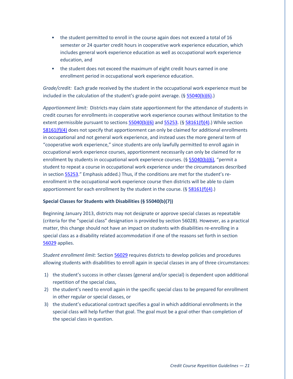- the student permitted to enroll in the course again does not exceed a total of 16 semester or 24 quarter credit hours in cooperative work experience education, which includes general work experience education as well as occupational work experience education, and
- the student does not exceed the maximum of eight credit hours earned in one enrollment period in occupational work experience education.

*Grade/credit:* Each grade received by the student in the occupational work experience must be included in the calculation of the student's grade-point average. (§ [55040\(b\)\(6\).](#page-41-4))

*Apportionment limit:* Districts may claim state apportionment for the attendance of students in credit courses for enrollments in cooperative work experience courses without limitation to the extent permissible pursuant to sections  $55040(b)(6)$  and  $55253$ . (§  $58161(f)(4)$ .) While section [58161\(f\)\(4\)](#page-50-5) does not specify that apportionment can only be claimed for additional enrollments in occupational and not general work experience, and instead uses the more general term of "cooperative work experience," since students are only lawfully permitted to enroll again in occupational work experience courses, apportionment necessarily can only be claimed for re enrollment by students in occupational work experience courses.  $(§ 55040(b)(6), "permit a)$  $(§ 55040(b)(6), "permit a)$  $(§ 55040(b)(6), "permit a)$ student to repeat a course in occupational work experience under the circumstances described in sectio[n 55253.](#page-46-3)" Emphasis added.) Thus, if the conditions are met for the student's reenrollment in the occupational work experience course then districts will be able to claim apportionment for each enrollment by the student in the course.  $(§ 58161(f)(4).)$  $(§ 58161(f)(4).)$  $(§ 58161(f)(4).)$ 

#### **Special Classes for Students with Disabilities (§ 55040(b)(7))**

Beginning January 2013, districts may not designate or approve special classes as repeatable (criteria for the "special class" designation is provided by section 56028). However, as a practical matter, this change should not have an impact on students with disabilities re-enrolling in a special class as a disability related accommodation if one of the reasons set forth in section [56029](#page-47-0) applies.

*Student enrollment limit:* Section [56029](#page-47-0) requires districts to develop policies and procedures allowing students with disabilities to enroll again in special classes in any of three circumstances:

- 1) the student's success in other classes (general and/or special) is dependent upon additional repetition of the special class,
- 2) the student's need to enroll again in the specific special class to be prepared for enrollment in other regular or special classes, or
- 3) the student's educational contract specifies a goal in which additional enrollments in the special class will help further that goal. The goal must be a goal other than completion of the special class in question.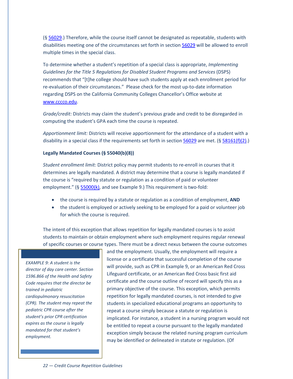(§ [56029.](#page-47-0)) Therefore, while the course itself cannot be designated as repeatable, students with disabilities meeting one of the circumstances set forth in section [56029](#page-47-0) will be allowed to enroll multiple times in the special class.

To determine whether a student's repetition of a special class is appropriate, *Implementing Guidelines for the Title 5 Regulations for Disabled Student Programs and Services* (DSPS) recommends that "[t]he college should have such students apply at each enrollment period for re-evaluation of their circumstances." Please check for the most up-to-date information regarding DSPS on the California Community Colleges Chancellor's Office website at [www.cccco.edu.](http://www.cccco.edu/)

*Grade/credit:* Districts may claim the student's previous grade and credit to be disregarded in computing the student's GPA each time the course is repeated.

*Apportionment limit:* Districts will receive apportionment for the attendance of a student with a disability in a special class if the requirements set forth in section [56029](#page-47-0) are met. (§ [58161\(f\)\(2\).](#page-50-6))

#### **Legally Mandated Courses (§ 55040(b)(8))**

*Student enrollment limit:* District policy may permit students to re-enroll in courses that it determines are legally mandated. A district may determine that a course is legally mandated if the course is "required by statute or regulation as a condition of paid or volunteer employment." (§ [55000\(k\),](#page-35-5) and see Example 9.) This requirement is two-fold:

- the course is required by a statute or regulation as a condition of employment, **AND**
- the student is employed or actively seeking to be employed for a paid or volunteer job for which the course is required.

The intent of this exception that allows repetition for legally mandated courses is to assist students to maintain or obtain employment where such employment requires regular renewal of specific courses or course types. There must be a direct nexus between the course outcomes

*EXAMPLE 9: A student is the director of day care center. Section 1596.866 of the Health and Safety Code requires that the director be trained in pediatric cardiopulmonary resuscitation (CPR). The student may repeat the pediatric CPR course after the student's prior CPR certification expires as the course is legally mandated for that student's employment.*

and the employment. Usually, the employment will require a license or a certificate that successful completion of the course will provide, such as CPR in Example 9, or an American Red Cross Lifeguard certificate, or an American Red Cross basic first aid certificate and the course outline of record will specify this as a primary objective of the course. This exception, which permits repetition for legally mandated courses, is not intended to give students in specialized educational programs an opportunity to repeat a course simply because a statute or regulation is implicated. For instance, a student in a nursing program would not be entitled to repeat a course pursuant to the legally mandated exception simply because the related nursing program curriculum may be identified or delineated in statute or regulation. (Of

*22 — Credit Course Repetition Guidelines*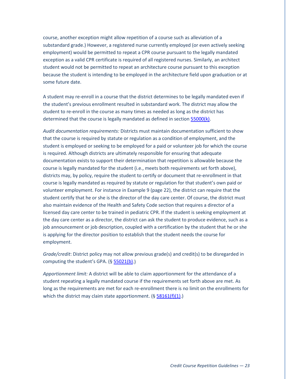course, another exception might allow repetition of a course such as alleviation of a substandard grade.) However, a registered nurse currently employed (or even actively seeking employment) would be permitted to repeat a CPR course pursuant to the legally mandated exception as a valid CPR certificate is required of all registered nurses. Similarly, an architect student would not be permitted to repeat an architecture course pursuant to this exception because the student is intending to be employed in the architecture field upon graduation or at some future date.

A student may re-enroll in a course that the district determines to be legally mandated even if the student's previous enrollment resulted in substandard work. The district may allow the student to re-enroll in the course as many times as needed as long as the district has determined that the course is legally mandated as defined in sectio[n 55000\(k\).](#page-35-5)

*Audit documentation requirements:* Districts must maintain documentation sufficient to show that the course is required by statute or regulation as a condition of employment, and the student is employed or seeking to be employed for a paid or volunteer job for which the course is required. Although districts are ultimately responsible for ensuring that adequate documentation exists to support their determination that repetition is allowable because the course is legally mandated for the student (i.e., meets both requirements set forth above), districts may, by policy, require the student to certify or document that re-enrollment in that course is legally mandated as required by statute or regulation for that student's own paid or volunteer employment. For instance in Example 9 (page 22), the district can require that the student certify that he or she is the director of the day care center. Of course, the district must also maintain evidence of the Health and Safety Code section that requires a director of a licensed day care center to be trained in pediatric CPR. If the student is seeking employment at the day care center as a director, the district can ask the student to produce evidence, such as a job announcement or job description, coupled with a certification by the student that he or she is applying for the director position to establish that the student needs the course for employment.

*Grade/credit*: District policy may not allow previous grade(s) and credit(s) to be disregarded in computing the student's GPA. ([§ 55021\(b\).](#page-36-4))

*Apportionment limit:* A district will be able to claim apportionment for the attendance of a student repeating a legally mandated course if the requirements set forth above are met. As long as the requirements are met for each re-enrollment there is no limit on the enrollments for which the district may claim state apportionment.  $(§ 58161(f)(1).)$  $(§ 58161(f)(1).)$  $(§ 58161(f)(1).)$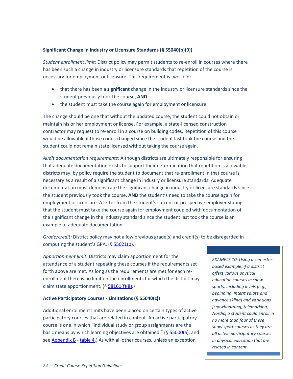#### **Significant Change in Industry or Licensure Standards (§ 55040(b)(9))**

*Student enrollment limit:* District policy may permit students to re-enroll in courses where there has been such a change in industry or licensure standards that repetition of the course is necessary for employment or licensure. This requirement is two-fold:

- that there has been a **significant** change in the industry or licensure standards since the student previously took the course, **AND**
- the student must take the course again for employment or licensure.

The change should be one that without the updated course, the student could not obtain or maintain his or her employment or license. For example, a state-licensed construction contractor may request to re-enroll in a course on building codes. Repetition of this course would be allowable if those codes changed since the student last took the course and the student could not remain state licensed without taking the course again.

*Audit documentation requirements:* Although districts are ultimately responsible for ensuring that adequate documentation exists to support their determination that repetition is allowable, districts may, by policy require the student to document that re-enrollment in that course is necessary as a result of a significant change in industry or licensure standards. Adequate documentation must demonstrate the significant change in industry or licensure standards since the student previously took the course, **AND** the student's need to take the course again for employment or licensure. A letter from the student's current or prospective employer stating that the student must take the course again for employment coupled with documentation of the significant change in the industry standard since the student last took the course is an example of adequate documentation.

*Grade/credit:* District policy may not allow previous grade(s) and credit(s) to be disregarded in computing the student's GPA. (§ [55021\(b\).](#page-36-4))

*Apportionment limit:* Districts may claim apportionment for the attendance of a student repeating these courses if the requirements set forth above are met. As long as the requirements are met for each reenrollment there is no limit on the enrollments for which the district may claim state apportionment.  $(§ 58161(f)(8).)$  $(§ 58161(f)(8).)$  $(§ 58161(f)(8).)$ 

#### **Active Participatory Courses - Limitations (§ 55040(c))**

Additional enrollment limits have been placed on certain types of active participatory courses that are related in content. An active participatory course is one in which "individual study or group assignments are the basic means by which learning objectives are obtained." ([§ 55000\(a\),](#page-34-1) and se[e Appendix B](#page-53-0) - [table 4.](#page-61-0)) As with all other courses, unless an exception

*EXAMPLE 10: Using a semesterbased example, if a district offers various physical education courses in snow sports, including levels [e.g., beginning, intermediate and advance skiing] and variations [snowboarding, telemarking, Nordic] a student could enroll in no more than four of these snow sport courses as they are all active participatory courses in physical education that are related in content.*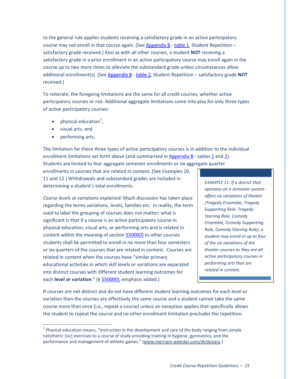to the general rule applies students receiving a satisfactory grade in an active participatory course may not enroll in that course again. (See [Appendix B](#page-53-0) - [table 1,](#page-54-0) Student Repetition – satisfactory grade received.) Also as with all other courses, a student **NOT** receiving a satisfactory grade in a prior enrollment in an active participatory course may enroll again in the course up to two more times to alleviate the substandard grade unless circumstances allow additional enrollment(s). (See [Appendix B](#page-53-0) - [table 2,](#page-55-0) Student Repetition – satisfactory grade **NOT** received.)

To reiterate, the foregoing limitations are the same for all credit courses, whether active participatory courses or not. Additional aggregate limitations come into play for only three types of active participatory courses:

- $\bullet$  physical education<sup>[5](#page-13-1)</sup>,
- visual arts, and
- performing arts.

The limitation for these three types of active participatory courses is in addition to the individual enrollment limitations set forth above (and summarized in [Appendix B](#page-53-0) - tables [1](#page-54-0) and [2\)](#page-55-0). Students are limited to four aggregate semester enrollments or six aggregate quarter

enrollments in courses that are related in content. (See Examples 10, 11 and 12.) Withdrawals and substandard grades are included in determining a student's total enrollments.

*Course levels or variations explained:* Much discussion has taken place regarding the terms variations, levels, families etc. In reality, the term used to label the grouping of courses does not matter; what is significant is that if a course is an active participatory course in physical education, visual arts, or performing arts and is related in content within the meaning of section [55000\(l\)](#page-35-2) to other courses students shall be permitted to enroll in no more than four semesters or six quarters of the courses that are related in content. Courses are related in content when the courses have "similar primary educational activities in which skill levels or variations are separated into distinct courses with different student learning outcomes for each **level or variation**." (§ [55000\(l\),](#page-35-2) emphasis added.)

*EXAMPLE 11: If a district that operates on a semester system offers six variations of theater (Tragedy Ensemble, Tragedy Supporting Role, Tragedy Starring Role, Comedy Ensemble, Comedy Supporting Role, Comedy Starring Role), a student may enroll in up to four of the six variations of the theater courses as they are all active participatory courses in performing arts that are related in content.*

If courses are not distinct and do not have different student learning outcomes for each level or variation then the courses are effectively the same course and a student cannot take the same course more than once (i.e., repeat a course) unless an exception applies that specifically allows the student to repeat the course and no other enrollment limitation precludes the repetition.

<span id="page-29-0"></span><sup>&</sup>lt;sup>5</sup> Physical education means, "instruction in the development and care of the body ranging from simple calisthenic [sic] exercises to a course of study providing training in hygiene, gymnastics, and the performance and management of athletic games." [\(www.merriam-webster.com/dictionary.](http://www.merriam-webster.com/dictionary))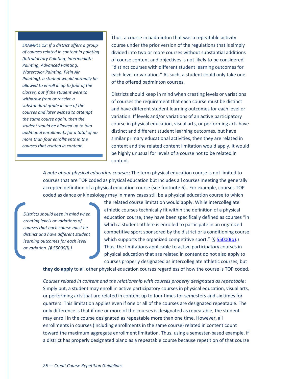*EXAMPLE 12: If a district offers a group of courses related in content in painting (Introductory Painting, Intermediate Painting, Advanced Painting, Watercolor Painting, Plein Air Painting), a student would normally be allowed to enroll in up to four of the classes, but if the student were to withdraw from or receive a substandard grade in one of the courses and later wished to attempt the same course again, then the student would be allowed up to two additional enrollments for a total of no more than four enrollments in the courses that related in content.* 

Thus, a course in badminton that was a repeatable activity course under the prior version of the regulations that is simply divided into two or more courses without substantial additions of course content and objectives is not likely to be considered "distinct courses with different student learning outcomes for each level or variation." As such, a student could only take one of the offered badminton courses.

Districts should keep in mind when creating levels or variations of courses the requirement that each course must be distinct and have different student learning outcomes for each level or variation. If levels and/or variations of an active participatory course in physical education, visual arts, or performing arts have distinct and different student learning outcomes, but have similar primary educational activities, then they are related in content and the related content limitation would apply. It would be highly unusual for levels of a course not to be related in content.

*A note about physical education courses*: The term physical education course is not limited to courses that are TOP coded as physical education but includes all courses meeting the generally accepted definition of a physical education course (see footnote 6). For example, courses TOP coded as dance or kinesiology may in many cases still be a physical education course to which

*Districts should keep in mind when creating levels or variations of courses that each course must be distinct and have different student learning outcomes for each level or variation. (§ 55000(l).)*

the related course limitation would apply. While intercollegiate athletic courses technically fit within the definition of a physical education course, they have been specifically defined as courses "in which a student athlete is enrolled to participate in an organized competitive sport sponsored by the district or a conditioning course which supports the organized competitive sport."  $(§ 55000(q).)$  $(§ 55000(q).)$  $(§ 55000(q).)$ Thus, the limitations applicable to active participatory courses in physical education that are related in content do not also apply to courses properly designated as intercollegiate athletic courses, but

**they do apply** to all other physical education courses regardless of how the course is TOP coded.

*Courses related in content and the relationship with courses properly designated as repeatable*: Simply put, a student may enroll in active participatory courses in physical education, visual arts, or performing arts that are related in content up to four times for semesters and six times for quarters. This limitation applies even if one or all of the courses are designated repeatable. The only difference is that if one or more of the courses is designated as repeatable, the student may enroll in the course designated as repeatable more than one time. However, all enrollments in courses (including enrollments in the same course) related in content count toward the maximum aggregate enrollment limitation. Thus, using a semester-based example, if a district has properly designated piano as a repeatable course because repetition of that course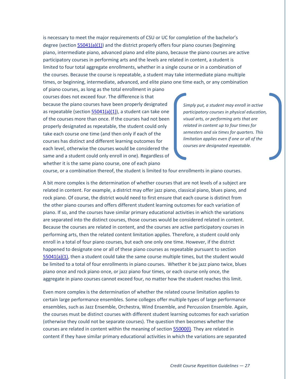is necessary to meet the major requirements of CSU or UC for completion of the bachelor's degree (section [55041\(a\)\(1\)\)](#page-42-3) and the district properly offers four piano courses (beginning piano, intermediate piano, advanced piano and elite piano, because the piano courses are active participatory courses in performing arts and the levels are related in content, a student is limited to four total aggregate enrollments, whether in a single course or in a combination of the courses. Because the course is repeatable, a student may take intermediate piano multiple times, or beginning, intermediate, advanced, and elite piano one time each, or any combination

of piano courses, as long as the total enrollment in piano courses does not exceed four. The difference is that because the piano courses have been properly designated as repeatable (section  $55041(a)(1)$ ), a student can take one of the courses more than once. If the courses had not been properly designated as repeatable, the student could only take each course one time (and then only if each of the courses has distinct and different learning outcomes for each level, otherwise the courses would be considered the same and a student could only enroll in one). Regardless of whether it is the same piano course, one of each piano

*Simply put, a student may enroll in active participatory courses in physical education, visual arts, or performing arts that are related in content up to four times for semesters and six times for quarters. This limitation applies even if one or all of the courses are designated repeatable.*

course, or a combination thereof, the student is limited to four enrollments in piano courses.

A bit more complex is the determination of whether courses that are not levels of a subject are related in content. For example, a district may offer jazz piano, classical piano, blues piano, and rock piano. Of course, the district would need to first ensure that each course is distinct from the other piano courses and offers different student learning outcomes for each variation of piano. If so, and the courses have similar primary educational activities in which the variations are separated into the distinct courses, those courses would be considered related in content. Because the courses are related in content, and the courses are active participatory courses in performing arts, then the related content limitation applies. Therefore, a student could only enroll in a total of four piano courses, but each one only one time. However, if the district happened to designate one or all of these piano courses as repeatable pursuant to section  $55041(a)(1)$ , then a student could take the same course multiple times, but the student would be limited to a total of four enrollments in piano courses. Whether it be jazz piano twice, blues piano once and rock piano once, or jazz piano four times, or each course only once, the aggregate in piano courses cannot exceed four, no matter how the student reaches this limit.

Even more complex is the determination of whether the related course limitation applies to certain large performance ensembles. Some colleges offer multiple types of large performance ensembles, such as Jazz Ensemble, Orchestra, Wind Ensemble, and Percussion Ensemble. Again, the courses must be distinct courses with different student learning outcomes for each variation (otherwise they could not be separate courses). The question then becomes whether the courses are related in content within the meaning of section [55000\(l\).](#page-35-2) They are related in content if they have similar primary educational activities in which the variations are separated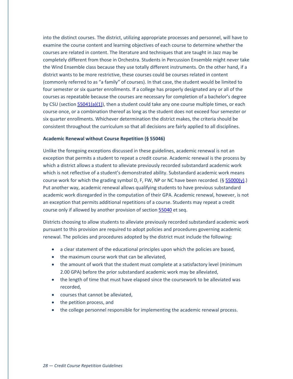into the distinct courses. The district, utilizing appropriate processes and personnel, will have to examine the course content and learning objectives of each course to determine whether the courses are related in content. The literature and techniques that are taught in Jazz may be completely different from those in Orchestra. Students in Percussion Ensemble might never take the Wind Ensemble class because they use totally different instruments. On the other hand, if a district wants to be more restrictive, these courses could be courses related in content (commonly referred to as "a family" of courses). In that case, the student would be limited to four semester or six quarter enrollments. If a college has properly designated any or all of the courses as repeatable because the courses are necessary for completion of a bachelor's degree by CSU (section  $55041(a)(1)$ ), then a student could take any one course multiple times, or each course once, or a combination thereof as long as the student does not exceed four semester or six quarter enrollments. Whichever determination the district makes, the criteria should be consistent throughout the curriculum so that all decisions are fairly applied to all disciplines.

#### **Academic Renewal without Course Repetition (§ 55046)**

Unlike the foregoing exceptions discussed in these guidelines, academic renewal is not an exception that permits a student to repeat a credit course. Academic renewal is the process by which a district allows a student to alleviate previously recorded substandard academic work which is not reflective of a student's demonstrated ability. Substandard academic work means course work for which the grading symbol D, F, FW, NP or NC have been recorded. ( $\S$  [55000\(y\).](#page-36-3)) Put another way, academic renewal allows qualifying students to have previous substandard academic work disregarded in the computation of their GPA. Academic renewal, however, is not an exception that permits additional repetitions of a course. Students may repeat a credit course only if allowed by another provision of sectio[n 55040](#page-41-1) et seq.

Districts choosing to allow students to alleviate previously recorded substandard academic work pursuant to this provision are required to adopt policies and procedures governing academic renewal. The policies and procedures adopted by the district must include the following:

- a clear statement of the educational principles upon which the policies are based,
- the maximum course work that can be alleviated,
- the amount of work that the student must complete at a satisfactory level (minimum 2.00 GPA) before the prior substandard academic work may be alleviated,
- the length of time that must have elapsed since the coursework to be alleviated was recorded,
- courses that cannot be alleviated,
- the petition process, and
- the college personnel responsible for implementing the academic renewal process.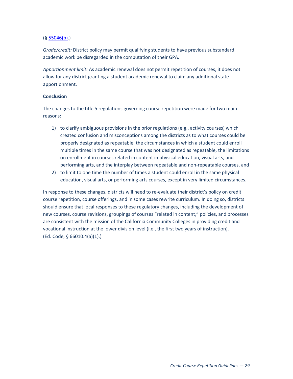#### $($ § [55046\(b\).](#page-45-3))

*Grade/credit:* District policy may permit qualifying students to have previous substandard academic work be disregarded in the computation of their GPA.

*Apportionment limit:* As academic renewal does not permit repetition of courses, it does not allow for any district granting a student academic renewal to claim any additional state apportionment.

#### **Conclusion**

The changes to the title 5 regulations governing course repetition were made for two main reasons:

- 1) to clarify ambiguous provisions in the prior regulations (e.g., activity courses) which created confusion and misconceptions among the districts as to what courses could be properly designated as repeatable, the circumstances in which a student could enroll multiple times in the same course that was not designated as repeatable, the limitations on enrollment in courses related in content in physical education, visual arts, and performing arts, and the interplay between repeatable and non-repeatable courses, and
- 2) to limit to one time the number of times a student could enroll in the same physical education, visual arts, or performing arts courses, except in very limited circumstances.

In response to these changes, districts will need to re-evaluate their district's policy on credit course repetition, course offerings, and in some cases rewrite curriculum. In doing so, districts should ensure that local responses to these regulatory changes, including the development of new courses, course revisions, groupings of courses "related in content," policies, and processes are consistent with the mission of the California Community Colleges in providing credit and vocational instruction at the lower division level (i.e., the first two years of instruction). (Ed. Code, § 66010.4(a)(1).)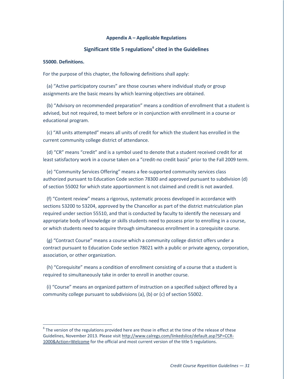#### **Appendix A – Applicable Regulations**

#### **Significant title 5 regulations[6](#page-29-0) cited in the Guidelines**

#### <span id="page-34-0"></span>**55000. Definitions.**

For the purpose of this chapter, the following definitions shall apply:

<span id="page-34-1"></span> (a) "Active participatory courses" are those courses where individual study or group assignments are the basic means by which learning objectives are obtained.

 (b) "Advisory on recommended preparation" means a condition of enrollment that a student is advised, but not required, to meet before or in conjunction with enrollment in a course or educational program.

 (c) "All units attempted" means all units of credit for which the student has enrolled in the current community college district of attendance.

 (d) "CR" means "credit" and is a symbol used to denote that a student received credit for at least satisfactory work in a course taken on a "credit-no credit basis" prior to the Fall 2009 term.

 (e) "Community Services Offering" means a fee-supported community services class authorized pursuant to Education Code section 78300 and approved pursuant to subdivision (d) of section 55002 for which state apportionment is not claimed and credit is not awarded.

 (f) "Content review" means a rigorous, systematic process developed in accordance with sections 53200 to 53204, approved by the Chancellor as part of the district matriculation plan required under section 55510, and that is conducted by faculty to identify the necessary and appropriate body of knowledge or skills students need to possess prior to enrolling in a course, or which students need to acquire through simultaneous enrollment in a corequisite course.

 (g) "Contract Course" means a course which a community college district offers under a contract pursuant to Education Code section 78021 with a public or private agency, corporation, association, or other organization.

 (h) "Corequisite" means a condition of enrollment consisting of a course that a student is required to simultaneously take in order to enroll in another course.

 (i) "Course" means an organized pattern of instruction on a specified subject offered by a community college pursuant to subdivisions (a), (b) or (c) of section 55002.

 $6$  The version of the regulations provided here are those in effect at the time of the release of these Guidelines, November 2013. Please visit [http://www.calregs.com/linkedslice/default.asp?SP=CCR-](http://www.calregs.com/linkedslice/default.asp?SP=CCR-1000&Action=Welcome)[1000&Action=Welcome](http://www.calregs.com/linkedslice/default.asp?SP=CCR-1000&Action=Welcome) for the official and most current version of the title 5 regulations.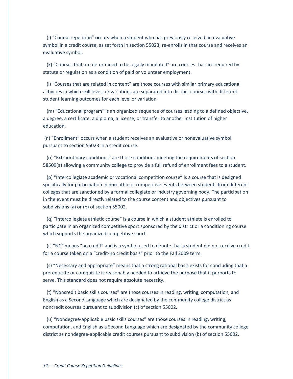(j) "Course repetition" occurs when a student who has previously received an evaluative symbol in a credit course, as set forth in section 55023, re-enrolls in that course and receives an evaluative symbol.

<span id="page-35-5"></span> (k) "Courses that are determined to be legally mandated" are courses that are required by statute or regulation as a condition of paid or volunteer employment.

<span id="page-35-2"></span> (l) "Courses that are related in content" are those courses with similar primary educational activities in which skill levels or variations are separated into distinct courses with different student learning outcomes for each level or variation.

 (m) "Educational program" is an organized sequence of courses leading to a defined objective, a degree, a certificate, a diploma, a license, or transfer to another institution of higher education.

<span id="page-35-0"></span>(n) "Enrollment" occurs when a student receives an evaluative or nonevaluative symbol pursuant to section 55023 in a credit course.

<span id="page-35-1"></span> (o) "Extraordinary conditions" are those conditions meeting the requirements of section 58509(a) allowing a community college to provide a full refund of enrollment fees to a student.

<span id="page-35-4"></span> (p) "Intercollegiate academic or vocational competition course" is a course that is designed specifically for participation in non-athletic competitive events between students from different colleges that are sanctioned by a formal collegiate or industry governing body. The participation in the event must be directly related to the course content and objectives pursuant to subdivisions (a) or (b) of section 55002.

<span id="page-35-3"></span> (q) "Intercollegiate athletic course" is a course in which a student athlete is enrolled to participate in an organized competitive sport sponsored by the district or a conditioning course which supports the organized competitive sport.

 (r) "NC" means "no credit" and is a symbol used to denote that a student did not receive credit for a course taken on a "credit-no credit basis" prior to the Fall 2009 term.

 (s) "Necessary and appropriate" means that a strong rational basis exists for concluding that a prerequisite or corequisite is reasonably needed to achieve the purpose that it purports to serve. This standard does not require absolute necessity.

 (t) "Noncredit basic skills courses" are those courses in reading, writing, computation, and English as a Second Language which are designated by the community college district as noncredit courses pursuant to subdivision (c) of section 55002.

 (u) "Nondegree-applicable basic skills courses" are those courses in reading, writing, computation, and English as a Second Language which are designated by the community college district as nondegree-applicable credit courses pursuant to subdivision (b) of section 55002.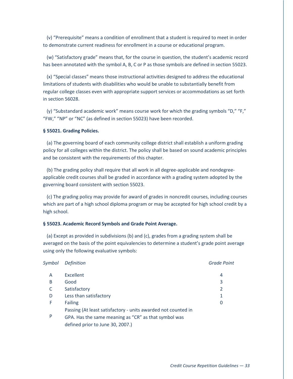(v) "Prerequisite" means a condition of enrollment that a student is required to meet in order to demonstrate current readiness for enrollment in a course or educational program.

<span id="page-36-2"></span> (w) "Satisfactory grade" means that, for the course in question, the student's academic record has been annotated with the symbol A, B, C or P as those symbols are defined in section 55023.

 (x) "Special classes" means those instructional activities designed to address the educational limitations of students with disabilities who would be unable to substantially benefit from regular college classes even with appropriate support services or accommodations as set forth in section 56028.

<span id="page-36-3"></span> (y) "Substandard academic work" means course work for which the grading symbols "D," "F," "FW," "NP" or "NC" (as defined in section 55023) have been recorded.

#### **§ 55021. Grading Policies.**

 (a) The governing board of each community college district shall establish a uniform grading policy for all colleges within the district. The policy shall be based on sound academic principles and be consistent with the requirements of this chapter.

<span id="page-36-4"></span> (b) The grading policy shall require that all work in all degree-applicable and nondegreeapplicable credit courses shall be graded in accordance with a grading system adopted by the governing board consistent with section 55023.

 (c) The grading policy may provide for award of grades in noncredit courses, including courses which are part of a high school diploma program or may be accepted for high school credit by a high school.

#### <span id="page-36-0"></span>**§ 55023. Academic Record Symbols and Grade Point Average.**

<span id="page-36-1"></span> (a) Except as provided in subdivisions (b) and (c), grades from a grading system shall be averaged on the basis of the point equivalencies to determine a student's grade point average using only the following evaluative symbols:

| Symbol | <b>Definition</b>                                             | <b>Grade Point</b> |
|--------|---------------------------------------------------------------|--------------------|
| A      | Excellent                                                     | 4                  |
| B      | Good                                                          | 3                  |
|        | Satisfactory                                                  | 2                  |
| D      | Less than satisfactory                                        | 1                  |
| F      | <b>Failing</b>                                                | 0                  |
|        | Passing (At least satisfactory - units awarded not counted in |                    |
| P      | GPA. Has the same meaning as "CR" as that symbol was          |                    |
|        | defined prior to June 30, 2007.)                              |                    |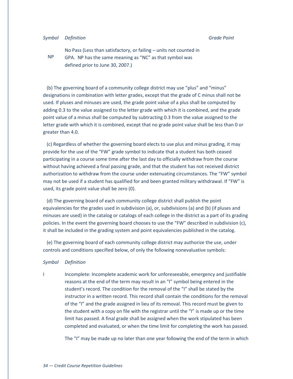#### *Symbol Definition Grade Point*

NP

No Pass (Less than satisfactory, or failing – units not counted in GPA. NP has the same meaning as "NC" as that symbol was defined prior to June 30, 2007.)

 (b) The governing board of a community college district may use "plus" and "minus" designations in combination with letter grades, except that the grade of C minus shall not be used. If pluses and minuses are used, the grade point value of a plus shall be computed by adding 0.3 to the value assigned to the letter grade with which it is combined, and the grade point value of a minus shall be computed by subtracting 0.3 from the value assigned to the letter grade with which it is combined, except that no grade point value shall be less than 0 or greater than 4.0.

<span id="page-37-0"></span> (c) Regardless of whether the governing board elects to use plus and minus grading, it may provide for the use of the "FW" grade symbol to indicate that a student has both ceased participating in a course some time after the last day to officially withdraw from the course without having achieved a final passing grade, and that the student has not received district authorization to withdraw from the course under extenuating circumstances. The "FW" symbol may not be used if a student has qualified for and been granted military withdrawal. If "FW" is used, its grade point value shall be zero (0).

 (d) The governing board of each community college district shall publish the point equivalencies for the grades used in subdivision (a), or, subdivisions (a) and (b) (if pluses and minuses are used) in the catalog or catalogs of each college in the district as a part of its grading policies. In the event the governing board chooses to use the "FW" described in subdivision (c), it shall be included in the grading system and point equivalencies published in the catalog.

<span id="page-37-1"></span> (e) The governing board of each community college district may authorize the use, under controls and conditions specified below, of only the following nonevaluative symbols:

#### *Symbol Definition*

I Incomplete: Incomplete academic work for unforeseeable, emergency and justifiable reasons at the end of the term may result in an "I" symbol being entered in the student's record. The condition for the removal of the "I" shall be stated by the instructor in a written record. This record shall contain the conditions for the removal of the "I" and the grade assigned in lieu of its removal. This record must be given to the student with a copy on file with the registrar until the "I" is made up or the time limit has passed. A final grade shall be assigned when the work stipulated has been completed and evaluated, or when the time limit for completing the work has passed.

The "I" may be made up no later than one year following the end of the term in which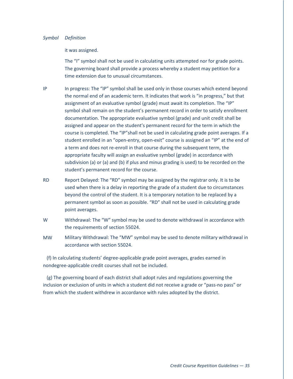#### *Symbol Definition*

#### it was assigned.

The "I" symbol shall not be used in calculating units attempted nor for grade points. The governing board shall provide a process whereby a student may petition for a time extension due to unusual circumstances.

- IP In progress: The "IP" symbol shall be used only in those courses which extend beyond the normal end of an academic term. It indicates that work is "in progress," but that assignment of an evaluative symbol (grade) must await its completion. The "IP" symbol shall remain on the student's permanent record in order to satisfy enrollment documentation. The appropriate evaluative symbol (grade) and unit credit shall be assigned and appear on the student's permanent record for the term in which the course is completed. The "IP"shall not be used in calculating grade point averages. If a student enrolled in an "open-entry, open-exit" course is assigned an "IP" at the end of a term and does not re-enroll in that course during the subsequent term, the appropriate faculty will assign an evaluative symbol (grade) in accordance with subdivision (a) or (a) and (b) if plus and minus grading is used) to be recorded on the student's permanent record for the course.
- RD Report Delayed: The "RD" symbol may be assigned by the registrar only. It is to be used when there is a delay in reporting the grade of a student due to circumstances beyond the control of the student. It is a temporary notation to be replaced by a permanent symbol as soon as possible. "RD" shall not be used in calculating grade point averages.
- W Withdrawal: The "W" symbol may be used to denote withdrawal in accordance with the requirements of section 55024.
- MW Military Withdrawal: The "MW" symbol may be used to denote military withdrawal in accordance with section 55024.

 (f) In calculating students' degree-applicable grade point averages, grades earned in nondegree-applicable credit courses shall not be included.

<span id="page-38-0"></span> (g) The governing board of each district shall adopt rules and regulations governing the inclusion or exclusion of units in which a student did not receive a grade or "pass-no pass" or from which the student withdrew in accordance with rules adopted by the district.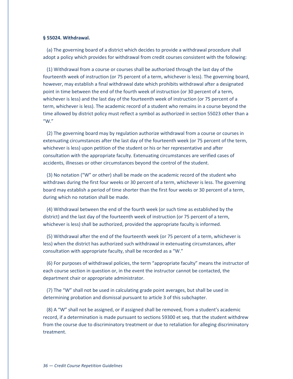#### <span id="page-39-0"></span>**§ 55024. Withdrawal.**

 (a) The governing board of a district which decides to provide a withdrawal procedure shall adopt a policy which provides for withdrawal from credit courses consistent with the following:

<span id="page-39-1"></span> (1) Withdrawal from a course or courses shall be authorized through the last day of the fourteenth week of instruction (or 75 percent of a term, whichever is less). The governing board, however, may establish a final withdrawal date which prohibits withdrawal after a designated point in time between the end of the fourth week of instruction (or 30 percent of a term, whichever is less) and the last day of the fourteenth week of instruction (or 75 percent of a term, whichever is less). The academic record of a student who remains in a course beyond the time allowed by district policy must reflect a symbol as authorized in section 55023 other than a "W."

<span id="page-39-4"></span> (2) The governing board may by regulation authorize withdrawal from a course or courses in extenuating circumstances after the last day of the fourteenth week (or 75 percent of the term, whichever is less) upon petition of the student or his or her representative and after consultation with the appropriate faculty. Extenuating circumstances are verified cases of accidents, illnesses or other circumstances beyond the control of the student.

<span id="page-39-2"></span> (3) No notation ("W" or other) shall be made on the academic record of the student who withdraws during the first four weeks or 30 percent of a term, whichever is less. The governing board may establish a period of time shorter than the first four weeks or 30 percent of a term, during which no notation shall be made.

 (4) Withdrawal between the end of the fourth week (or such time as established by the district) and the last day of the fourteenth week of instruction (or 75 percent of a term, whichever is less) shall be authorized, provided the appropriate faculty is informed.

<span id="page-39-5"></span> (5) Withdrawal after the end of the fourteenth week (or 75 percent of a term, whichever is less) when the district has authorized such withdrawal in extenuating circumstances, after consultation with appropriate faculty, shall be recorded as a "W."

 (6) For purposes of withdrawal policies, the term "appropriate faculty" means the instructor of each course section in question or, in the event the instructor cannot be contacted, the department chair or appropriate administrator.

<span id="page-39-3"></span> (7) The "W" shall not be used in calculating grade point averages, but shall be used in determining probation and dismissal pursuant to article 3 of this subchapter.

<span id="page-39-6"></span> (8) A "W" shall not be assigned, or if assigned shall be removed, from a student's academic record, if a determination is made pursuant to sections 59300 et seq. that the student withdrew from the course due to discriminatory treatment or due to retaliation for alleging discriminatory treatment.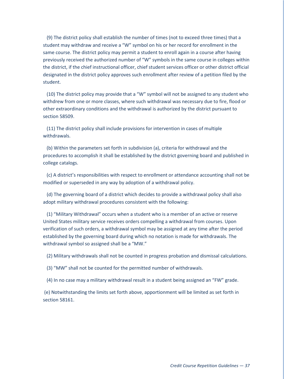<span id="page-40-0"></span> (9) The district policy shall establish the number of times (not to exceed three times) that a student may withdraw and receive a "W" symbol on his or her record for enrollment in the same course. The district policy may permit a student to enroll again in a course after having previously received the authorized number of "W" symbols in the same course in colleges within the district, if the chief instructional officer, chief student services officer or other district official designated in the district policy approves such enrollment after review of a petition filed by the student.

 (10) The district policy may provide that a "W" symbol will not be assigned to any student who withdrew from one or more classes, where such withdrawal was necessary due to fire, flood or other extraordinary conditions and the withdrawal is authorized by the district pursuant to section 58509.

 (11) The district policy shall include provisions for intervention in cases of multiple withdrawals.

 (b) Within the parameters set forth in subdivision (a), criteria for withdrawal and the procedures to accomplish it shall be established by the district governing board and published in college catalogs.

 (c) A district's responsibilities with respect to enrollment or attendance accounting shall not be modified or superseded in any way by adoption of a withdrawal policy.

 (d) The governing board of a district which decides to provide a withdrawal policy shall also adopt military withdrawal procedures consistent with the following:

<span id="page-40-1"></span> (1) "Military Withdrawal" occurs when a student who is a member of an active or reserve United States military service receives orders compelling a withdrawal from courses. Upon verification of such orders, a withdrawal symbol may be assigned at any time after the period established by the governing board during which no notation is made for withdrawals. The withdrawal symbol so assigned shall be a "MW."

<span id="page-40-2"></span>(2) Military withdrawals shall not be counted in progress probation and dismissal calculations.

<span id="page-40-3"></span>(3) "MW" shall not be counted for the permitted number of withdrawals.

<span id="page-40-4"></span>(4) In no case may a military withdrawal result in a student being assigned an "FW" grade.

(e) Notwithstanding the limits set forth above, apportionment will be limited as set forth in section 58161.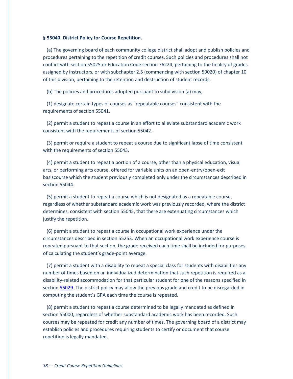#### <span id="page-41-1"></span>**§ 55040. District Policy for Course Repetition.**

<span id="page-41-0"></span> (a) The governing board of each community college district shall adopt and publish policies and procedures pertaining to the repetition of credit courses. Such policies and procedures shall not conflict with section 55025 or Education Code section 76224, pertaining to the finality of grades assigned by instructors, or with subchapter 2.5 (commencing with section 59020) of chapter 10 of this division, pertaining to the retention and destruction of student records.

<span id="page-41-2"></span>(b) The policies and procedures adopted pursuant to subdivision (a) may,

 (1) designate certain types of courses as "repeatable courses" consistent with the requirements of section 55041.

 (2) permit a student to repeat a course in an effort to alleviate substandard academic work consistent with the requirements of section 55042.

 (3) permit or require a student to repeat a course due to significant lapse of time consistent with the requirements of section 55043.

 (4) permit a student to repeat a portion of a course, other than a physical education, visual arts, or performing arts course, offered for variable units on an open-entry/open-exit basiscourse which the student previously completed only under the circumstances described in section 55044.

 (5) permit a student to repeat a course which is not designated as a repeatable course, regardless of whether substandard academic work was previously recorded, where the district determines, consistent with section 55045, that there are extenuating circumstances which justify the repetition.

<span id="page-41-4"></span> (6) permit a student to repeat a course in occupational work experience under the circumstances described in section 55253. When an occupational work experience course is repeated pursuant to that section, the grade received each time shall be included for purposes of calculating the student's grade-point average.

 (7) permit a student with a disability to repeat a special class for students with disabilities any number of times based on an individualized determination that such repetition is required as a disability-related accommodation for that particular student for one of the reasons specified in sectio[n 56029.](#page-47-0) The district policy may allow the previous grade and credit to be disregarded in computing the student's GPA each time the course is repeated.

<span id="page-41-3"></span> (8) permit a student to repeat a course determined to be legally mandated as defined in section 55000, regardless of whether substandard academic work has been recorded. Such courses may be repeated for credit any number of times. The governing board of a district may establish policies and procedures requiring students to certify or document that course repetition is legally mandated.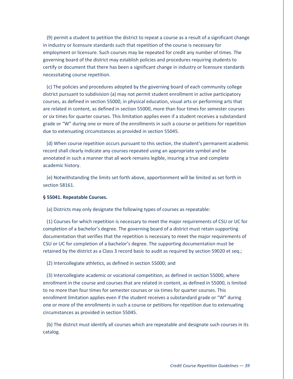(9) permit a student to petition the district to repeat a course as a result of a significant change in industry or licensure standards such that repetition of the course is necessary for employment or licensure. Such courses may be repeated for credit any number of times. The governing board of the district may establish policies and procedures requiring students to certify or document that there has been a significant change in industry or licensure standards necessitating course repetition.

<span id="page-42-6"></span> (c) The policies and procedures adopted by the governing board of each community college district pursuant to subdivision (a) may not permit student enrollment in active participatory courses, as defined in section 55000, in physical education, visual arts or performing arts that are related in content, as defined in section 55000, more than four times for semester courses or six times for quarter courses. This limitation applies even if a student receives a substandard grade or "W" during one or more of the enrollments in such a course or petitions for repetition due to extenuating circumstances as provided in section 55045.

 (d) When course repetition occurs pursuant to this section, the student's permanent academic record shall clearly indicate any courses repeated using an appropriate symbol and be annotated in such a manner that all work remains legible, insuring a true and complete academic history.

<span id="page-42-0"></span> (e) Notwithstanding the limits set forth above, apportionment will be limited as set forth in section 58161.

#### <span id="page-42-2"></span>**§ 55041. Repeatable Courses.**

<span id="page-42-1"></span>(a) Districts may only designate the following types of courses as repeatable:

<span id="page-42-3"></span> (1) Courses for which repetition is necessary to meet the major requirements of CSU or UC for completion of a bachelor's degree. The governing board of a district must retain supporting documentation that verifies that the repetition is necessary to meet the major requirements of CSU or UC for completion of a bachelor's degree. The supporting documentation must be retained by the district as a Class 3 record basic to audit as required by section 59020 et seq.;

<span id="page-42-4"></span>(2) Intercollegiate athletics, as defined in section 55000; and

<span id="page-42-5"></span> (3) Intercollegiate academic or vocational competition, as defined in section 55000, where enrollment in the course and courses that are related in content, as defined in 55000, is limited to no more than four times for semester courses or six times for quarter courses. This enrollment limitation applies even if the student receives a substandard grade or "W" during one or more of the enrollments in such a course or petitions for repetition due to extenuating circumstances as provided in section 55045.

 (b) The district must identify all courses which are repeatable and designate such courses in its catalog.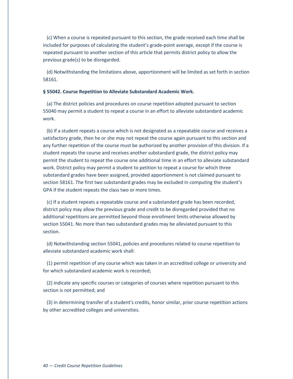<span id="page-43-3"></span> (c) When a course is repeated pursuant to this section, the grade received each time shall be included for purposes of calculating the student's grade-point average, except if the course is repeated pursuant to another section of this article that permits district policy to allow the previous grade(s) to be disregarded.

 (d) Notwithstanding the limitations above, apportionment will be limited as set forth in section 58161.

#### <span id="page-43-1"></span>**§ 55042. Course Repetition to Alleviate Substandard Academic Work.**

 (a) The district policies and procedures on course repetition adopted pursuant to section 55040 may permit a student to repeat a course in an effort to alleviate substandard academic work.

<span id="page-43-0"></span> (b) If a student repeats a course which is not designated as a repeatable course and receives a satisfactory grade, then he or she may not repeat the course again pursuant to this section and any further repetition of the course must be authorized by another provision of this division. If a student repeats the course and receives another substandard grade, the district policy may permit the student to repeat the course one additional time in an effort to alleviate substandard work. District policy may permit a student to petition to repeat a course for which three substandard grades have been assigned, provided apportionment is not claimed pursuant to section 58161. The first two substandard grades may be excluded in computing the student's GPA if the student repeats the class two or more times.

<span id="page-43-2"></span> (c) If a student repeats a repeatable course and a substandard grade has been recorded, district policy may allow the previous grade and credit to be disregarded provided that no additional repetitions are permitted beyond those enrollment limits otherwise allowed by section 55041. No more than two substandard grades may be alleviated pursuant to this section.

 (d) Notwithstanding section 55041, policies and procedures related to course repetition to alleviate substandard academic work shall:

 (1) permit repetition of any course which was taken in an accredited college or university and for which substandard academic work is recorded;

 (2) indicate any specific courses or categories of courses where repetition pursuant to this section is not permitted; and

 (3) in determining transfer of a student's credits, honor similar, prior course repetition actions by other accredited colleges and universities.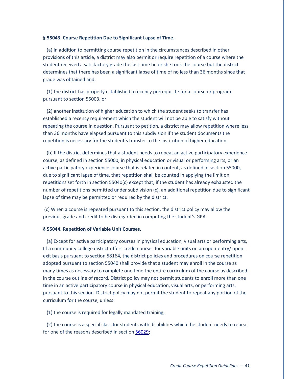#### **§ 55043. Course Repetition Due to Significant Lapse of Time.**

 (a) In addition to permitting course repetition in the circumstances described in other provisions of this article, a district may also permit or require repetition of a course where the student received a satisfactory grade the last time he or she took the course but the district determines that there has been a significant lapse of time of no less than 36 months since that grade was obtained and:

 (1) the district has properly established a recency prerequisite for a course or program pursuant to section 55003, or

<span id="page-44-0"></span> (2) another institution of higher education to which the student seeks to transfer has established a recency requirement which the student will not be able to satisfy without repeating the course in question. Pursuant to petition, a district may allow repetition where less than 36 months have elapsed pursuant to this subdivision if the student documents the repetition is necessary for the student's transfer to the institution of higher education.

<span id="page-44-1"></span> (b) If the district determines that a student needs to repeat an active participatory experience course, as defined in section 55000, in physical education or visual or performing arts, or an active participatory experience course that is related in content, as defined in section 55000, due to significant lapse of time, that repetition shall be counted in applying the limit on repetitions set forth in section 55040(c) except that, if the student has already exhausted the number of repetitions permitted under subdivision (c), an additional repetition due to significant lapse of time may be permitted or required by the district.

<span id="page-44-2"></span>(c) When a course is repeated pursuant to this section, the district policy may allow the previous grade and credit to be disregarded in computing the student's GPA.

#### **§ 55044. Repetition of Variable Unit Courses.**

<span id="page-44-3"></span> (a) Except for active participatory courses in physical education, visual arts or performing arts, Iif a community college district offers credit courses for variable units on an open-entry/ openexit basis pursuant to section 58164, the district policies and procedures on course repetition adopted pursuant to section 55040 shall provide that a student may enroll in the course as many times as necessary to complete one time the entire curriculum of the course as described in the course outline of record. District policy may not permit students to enroll more than one time in an active participatory course in physical education, visual arts, or performing arts, pursuant to this section. District policy may not permit the student to repeat any portion of the curriculum for the course, unless:

(1) the course is required for legally mandated training;

 (2) the course is a special class for students with disabilities which the student needs to repeat for one of the reasons described in section [56029;](#page-47-0)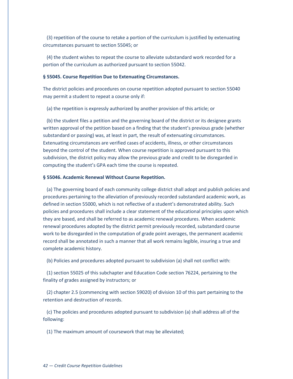(3) repetition of the course to retake a portion of the curriculum is justified by extenuating circumstances pursuant to section 55045; or

<span id="page-45-1"></span> (4) the student wishes to repeat the course to alleviate substandard work recorded for a portion of the curriculum as authorized pursuant to section 55042.

#### <span id="page-45-0"></span>**§ 55045. Course Repetition Due to Extenuating Circumstances.**

The district policies and procedures on course repetition adopted pursuant to section 55040 may permit a student to repeat a course only if:

(a) the repetition is expressly authorized by another provision of this article; or

<span id="page-45-2"></span> (b) the student files a petition and the governing board of the district or its designee grants written approval of the petition based on a finding that the student's previous grade (whether substandard or passing) was, at least in part, the result of extenuating circumstances. Extenuating circumstances are verified cases of accidents, illness, or other circumstances beyond the control of the student. When course repetition is approved pursuant to this subdivision, the district policy may allow the previous grade and credit to be disregarded in computing the student's GPA each time the course is repeated.

#### **§ 55046. Academic Renewal Without Course Repetition.**

 (a) The governing board of each community college district shall adopt and publish policies and procedures pertaining to the alleviation of previously recorded substandard academic work, as defined in section 55000, which is not reflective of a student's demonstrated ability. Such policies and procedures shall include a clear statement of the educational principles upon which they are based, and shall be referred to as academic renewal procedures. When academic renewal procedures adopted by the district permit previously recorded, substandard course work to be disregarded in the computation of grade point averages, the permanent academic record shall be annotated in such a manner that all work remains legible, insuring a true and complete academic history.

<span id="page-45-3"></span>(b) Policies and procedures adopted pursuant to subdivision (a) shall not conflict with:

 (1) section 55025 of this subchapter and Education Code section 76224, pertaining to the finality of grades assigned by instructors; or

 (2) chapter 2.5 (commencing with section 59020) of division 10 of this part pertaining to the retention and destruction of records.

 (c) The policies and procedures adopted pursuant to subdivision (a) shall address all of the following:

(1) The maximum amount of coursework that may be alleviated;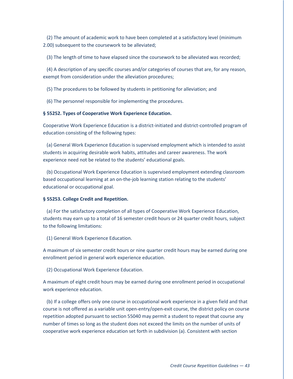(2) The amount of academic work to have been completed at a satisfactory level (minimum 2.00) subsequent to the coursework to be alleviated;

(3) The length of time to have elapsed since the coursework to be alleviated was recorded;

 (4) A description of any specific courses and/or categories of courses that are, for any reason, exempt from consideration under the alleviation procedures;

(5) The procedures to be followed by students in petitioning for alleviation; and

(6) The personnel responsible for implementing the procedures.

#### <span id="page-46-0"></span>**§ 55252. Types of Cooperative Work Experience Education.**

Cooperative Work Experience Education is a district-initiated and district-controlled program of education consisting of the following types:

<span id="page-46-2"></span> (a) General Work Experience Education is supervised employment which is intended to assist students in acquiring desirable work habits, attitudes and career awareness. The work experience need not be related to the students' educational goals.

<span id="page-46-1"></span> (b) Occupational Work Experience Education is supervised employment extending classroom based occupational learning at an on-the-job learning station relating to the students' educational or occupational goal.

#### <span id="page-46-3"></span>**§ 55253. College Credit and Repetition.**

 (a) For the satisfactory completion of all types of Cooperative Work Experience Education, students may earn up to a total of 16 semester credit hours or 24 quarter credit hours, subject to the following limitations:

(1) General Work Experience Education.

A maximum of six semester credit hours or nine quarter credit hours may be earned during one enrollment period in general work experience education.

(2) Occupational Work Experience Education.

A maximum of eight credit hours may be earned during one enrollment period in occupational work experience education.

 (b) If a college offers only one course in occupational work experience in a given field and that course is not offered as a variable unit open-entry/open-exit course, the district policy on course repetition adopted pursuant to section 55040 may permit a student to repeat that course any number of times so long as the student does not exceed the limits on the number of units of cooperative work experience education set forth in subdivision (a). Consistent with section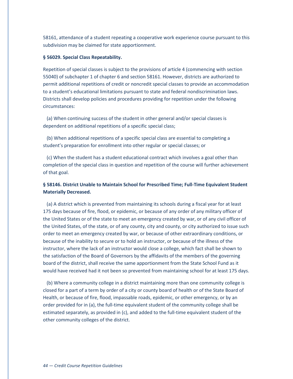58161, attendance of a student repeating a cooperative work experience course pursuant to this subdivision may be claimed for state apportionment.

#### <span id="page-47-0"></span>**§ 56029. Special Class Repeatability.**

Repetition of special classes is subject to the provisions of article 4 (commencing with section 55040) of subchapter 1 of chapter 6 and section 58161. However, districts are authorized to permit additional repetitions of credit or noncredit special classes to provide an accommodation to a student's educational limitations pursuant to state and federal nondiscrimination laws. Districts shall develop policies and procedures providing for repetition under the following circumstances:

 (a) When continuing success of the student in other general and/or special classes is dependent on additional repetitions of a specific special class;

 (b) When additional repetitions of a specific special class are essential to completing a student's preparation for enrollment into other regular or special classes; or

 (c) When the student has a student educational contract which involves a goal other than completion of the special class in question and repetition of the course will further achievement of that goal.

# <span id="page-47-1"></span>**§ 58146. District Unable to Maintain School for Prescribed Time; Full-Time Equivalent Student Materially Decreased.**

<span id="page-47-2"></span> (a) A district which is prevented from maintaining its schools during a fiscal year for at least 175 days because of fire, flood, or epidemic, or because of any order of any military officer of the United States or of the state to meet an emergency created by war, or of any civil officer of the United States, of the state, or of any county, city and county, or city authorized to issue such order to meet an emergency created by war, or because of other extraordinary conditions, or because of the inability to secure or to hold an instructor, or because of the illness of the instructor, where the lack of an instructor would close a college, which fact shall be shown to the satisfaction of the Board of Governors by the affidavits of the members of the governing board of the district, shall receive the same apportionment from the State School Fund as it would have received had it not been so prevented from maintaining school for at least 175 days.

 (b) Where a community college in a district maintaining more than one community college is closed for a part of a term by order of a city or county board of health or of the State Board of Health, or because of fire, flood, impassable roads, epidemic, or other emergency, or by an order provided for in (a), the full-time equivalent student of the community college shall be estimated separately, as provided in (c), and added to the full-time equivalent student of the other community colleges of the district.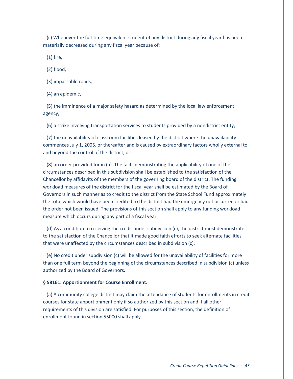(c) Whenever the full-time equivalent student of any district during any fiscal year has been materially decreased during any fiscal year because of:

(1) fire,

(2) flood,

(3) impassable roads,

(4) an epidemic,

 (5) the imminence of a major safety hazard as determined by the local law enforcement agency,

(6) a strike involving transportation services to students provided by a nondistrict entity,

 (7) the unavailability of classroom facilities leased by the district where the unavailability commences July 1, 2005, or thereafter and is caused by extraordinary factors wholly external to and beyond the control of the district, or

 (8) an order provided for in (a). The facts demonstrating the applicability of one of the circumstances described in this subdivision shall be established to the satisfaction of the Chancellor by affidavits of the members of the governing board of the district. The funding workload measures of the district for the fiscal year shall be estimated by the Board of Governors in such manner as to credit to the district from the State School Fund approximately the total which would have been credited to the district had the emergency not occurred or had the order not been issued. The provisions of this section shall apply to any funding workload measure which occurs during any part of a fiscal year.

 (d) As a condition to receiving the credit under subdivision (c), the district must demonstrate to the satisfaction of the Chancellor that it made good faith efforts to seek alternate facilities that were unaffected by the circumstances described in subdivision (c).

 (e) No credit under subdivision (c) will be allowed for the unavailability of facilities for more than one full term beyond the beginning of the circumstances described in subdivision (c) unless authorized by the Board of Governors.

#### <span id="page-48-0"></span>**§ 58161. Apportionment for Course Enrollment.**

 (a) A community college district may claim the attendance of students for enrollments in credit courses for state apportionment only if so authorized by this section and if all other requirements of this division are satisfied. For purposes of this section, the definition of enrollment found in section 55000 shall apply.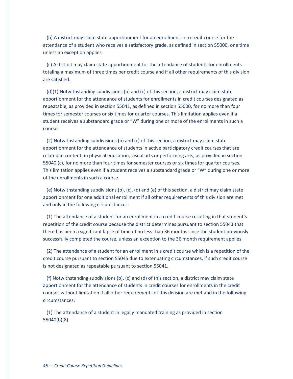<span id="page-49-3"></span> (b) A district may claim state apportionment for an enrollment in a credit course for the attendance of a student who receives a satisfactory grade, as defined in section 55000, one time unless an exception applies.

<span id="page-49-0"></span> (c) A district may claim state apportionment for the attendance of students for enrollments totaling a maximum of three times per credit course and if all other requirements of this division are satisfied.

<span id="page-49-1"></span> $(d)(1)$  Notwithstanding subdivisions (b) and (c) of this section, a district may claim state apportionment for the attendance of students for enrollments in credit courses designated as repeatable, as provided in section 55041, as defined in section 55000, for no more than four times for semester courses or six times for quarter courses. This limitation applies even if a student receives a substandard grade or "W" during one or more of the enrollments in such a course.

 (2) Notwithstanding subdivisions (b) and (c) of this section, a district may claim state apportionment for the attendance of students in active participatory credit courses that are related in content, in physical education, visual arts or performing arts, as provided in section 55040 (c), for no more than four times for semester courses or six times for quarter courses. This limitation applies even if a student receives a substandard grade or "W" during one or more of the enrollments in such a course.

<span id="page-49-4"></span> (e) Notwithstanding subdivisions (b), (c), (d) and (e) of this section, a district may claim state apportionment for one additional enrollment if all other requirements of this division are met and only in the following circumstances:

<span id="page-49-2"></span> (1) The attendance of a student for an enrollment in a credit course resulting in that student's repetition of the credit course because the district determines pursuant to section 55043 that there has been a significant lapse of time of no less than 36 months since the student previously successfully completed the course, unless an exception to the 36 month requirement applies.

 (2) The attendance of a student for an enrollment in a credit course which is a repetition of the credit course pursuant to section 55045 due to extenuating circumstances, if such credit course is not designated as repeatable pursuant to section 55041.

 (f) Notwithstanding subdivisions (b), (c) and (d) of this section, a district may claim state apportionment for the attendance of students in credit courses for enrollments in the credit courses without limitation if all other requirements of this division are met and in the following circumstances:

<span id="page-49-5"></span> (1) The attendance of a student in legally mandated training as provided in section 55040(b)(8).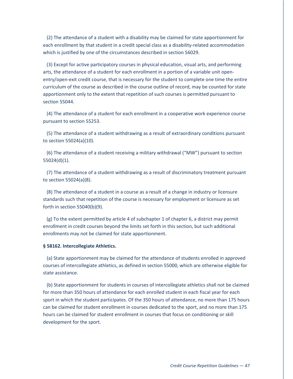<span id="page-50-6"></span> (2) The attendance of a student with a disability may be claimed for state apportionment for each enrollment by that student in a credit special class as a disability-related accommodation which is justified by one of the circumstances described in section 56029.

<span id="page-50-4"></span> (3) Except for active participatory courses in physical education, visual arts, and performing arts, the attendance of a student for each enrollment in a portion of a variable unit openentry/open-exit credit course, that is necessary for the student to complete one time the entire curriculum of the course as described in the course outline of record, may be counted for state apportionment only to the extent that repetition of such courses is permitted pursuant to section 55044.

<span id="page-50-5"></span> (4) The attendance of a student for each enrollment in a cooperative work experience course pursuant to section 55253.

<span id="page-50-1"></span> (5) The attendance of a student withdrawing as a result of extraordinary conditions pursuant to section 55024(a)(10).

<span id="page-50-2"></span> (6) The attendance of a student receiving a military withdrawal ("MW") pursuant to section 55024(d)(1).

<span id="page-50-0"></span> (7) The attendance of a student withdrawing as a result of discriminatory treatment pursuant to section 55024(a)(8).

<span id="page-50-7"></span> (8) The attendance of a student in a course as a result of a change in industry or licensure standards such that repetition of the course is necessary for employment or licensure as set forth in section 55040(b)(9).

 (g) To the extent permitted by article 4 of subchapter 1 of chapter 6, a district may permit enrollment in credit courses beyond the limits set forth in this section, but such additional enrollments may not be claimed for state apportionment.

#### <span id="page-50-3"></span>**§ 58162. Intercollegiate Athletics.**

 (a) State apportionment may be claimed for the attendance of students enrolled in approved courses of intercollegiate athletics, as defined in section 55000, which are otherwise eligible for state assistance.

 (b) State apportionment for students in courses of intercollegiate athletics shall not be claimed for more than 350 hours of attendance for each enrolled student in each fiscal year for each sport in which the student participates. Of the 350 hours of attendance, no more than 175 hours can be claimed for student enrollment in courses dedicated to the sport, and no more than 175 hours can be claimed for student enrollment in courses that focus on conditioning or skill development for the sport.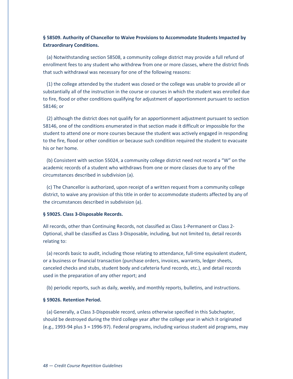## <span id="page-51-2"></span>**§ 58509. Authority of Chancellor to Waive Provisions to Accommodate Students Impacted by Extraordinary Conditions.**

 (a) Notwithstanding section 58508, a community college district may provide a full refund of enrollment fees to any student who withdrew from one or more classes, where the district finds that such withdrawal was necessary for one of the following reasons:

 (1) the college attended by the student was closed or the college was unable to provide all or substantially all of the instruction in the course or courses in which the student was enrolled due to fire, flood or other conditions qualifying for adjustment of apportionment pursuant to section 58146; or

 (2) although the district does not qualify for an apportionment adjustment pursuant to section 58146, one of the conditions enumerated in that section made it difficult or impossible for the student to attend one or more courses because the student was actively engaged in responding to the fire, flood or other condition or because such condition required the student to evacuate his or her home.

 (b) Consistent with section 55024, a community college district need not record a "W" on the academic records of a student who withdraws from one or more classes due to any of the circumstances described in subdivision (a).

 (c) The Chancellor is authorized, upon receipt of a written request from a community college district, to waive any provision of this title in order to accommodate students affected by any of the circumstances described in subdivision (a).

#### <span id="page-51-0"></span>**§ 59025. Class 3-Disposable Records.**

All records, other than Continuing Records, not classified as Class 1-Permanent or Class 2- Optional, shall be classified as Class 3-Disposable, including, but not limited to, detail records relating to:

 (a) records basic to audit, including those relating to attendance, full-time equivalent student, or a business or financial transaction (purchase orders, invoices, warrants, ledger sheets, canceled checks and stubs, student body and cafeteria fund records, etc.), and detail records used in the preparation of any other report; and

(b) periodic reports, such as daily, weekly, and monthly reports, bulletins, and instructions.

#### <span id="page-51-1"></span>**§ 59026. Retention Period.**

 (a) Generally, a Class 3-Disposable record, unless otherwise specified in this Subchapter, should be destroyed during the third college year after the college year in which it originated (e.g., 1993-94 plus 3 = 1996-97). Federal programs, including various student aid programs, may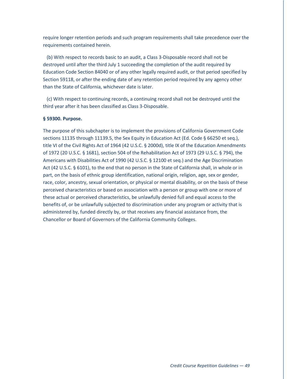require longer retention periods and such program requirements shall take precedence over the requirements contained herein.

 (b) With respect to records basic to an audit, a Class 3-Disposable record shall not be destroyed until after the third July 1 succeeding the completion of the audit required by Education Code Section 84040 or of any other legally required audit, or that period specified by Section 59118, or after the ending date of any retention period required by any agency other than the State of California, whichever date is later.

 (c) With respect to continuing records, a continuing record shall not be destroyed until the third year after it has been classified as Class 3-Disposable.

#### <span id="page-52-0"></span>**§ 59300. Purpose.**

The purpose of this subchapter is to implement the provisions of California Government Code sections 11135 through 11139.5, the Sex Equity in Education Act (Ed. Code § 66250 et seq.), title VI of the Civil Rights Act of 1964 (42 U.S.C. § 2000d), title IX of the Education Amendments of 1972 (20 U.S.C. § 1681), section 504 of the Rehabilitation Act of 1973 (29 U.S.C. § 794), the Americans with Disabilities Act of 1990 (42 U.S.C. § 12100 et seq.) and the Age Discrimination Act (42 U.S.C. § 6101), to the end that no person in the State of California shall, in whole or in part, on the basis of ethnic group identification, national origin, religion, age, sex or gender, race, color, ancestry, sexual orientation, or physical or mental disability, or on the basis of these perceived characteristics or based on association with a person or group with one or more of these actual or perceived characteristics, be unlawfully denied full and equal access to the benefits of, or be unlawfully subjected to discrimination under any program or activity that is administered by, funded directly by, or that receives any financial assistance from, the Chancellor or Board of Governors of the California Community Colleges.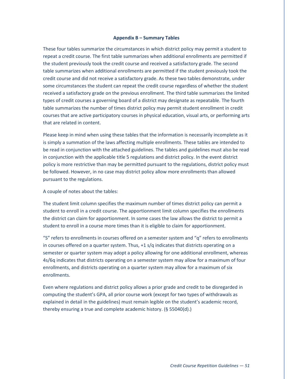#### **Appendix B – Summary Tables**

<span id="page-53-0"></span>These four tables summarize the circumstances in which district policy may permit a student to repeat a credit course. The first table summarizes when additional enrollments are permitted if the student previously took the credit course and received a satisfactory grade. The second table summarizes when additional enrollments are permitted if the student previously took the credit course and did not receive a satisfactory grade. As these two tables demonstrate, under some circumstances the student can repeat the credit course regardless of whether the student received a satisfactory grade on the previous enrollment. The third table summarizes the limited types of credit courses a governing board of a district may designate as repeatable. The fourth table summarizes the number of times district policy may permit student enrollment in credit courses that are active participatory courses in physical education, visual arts, or performing arts that are related in content.

Please keep in mind when using these tables that the information is necessarily incomplete as it is simply a summation of the laws affecting multiple enrollments. These tables are intended to be read in conjunction with the attached guidelines. The tables and guidelines must also be read in conjunction with the applicable title 5 regulations and district policy. In the event district policy is more restrictive than may be permitted pursuant to the regulations, district policy must be followed. However, in no case may district policy allow more enrollments than allowed pursuant to the regulations.

#### A couple of notes about the tables:

The student limit column specifies the maximum number of times district policy can permit a student to enroll in a credit course. The apportionment limit column specifies the enrollments the district can claim for apportionment. In some cases the law allows the district to permit a student to enroll in a course more times than it is eligible to claim for apportionment.

"S" refers to enrollments in courses offered on a semester system and "q" refers to enrollments in courses offered on a quarter system. Thus, +1 s/q indicates that districts operating on a semester or quarter system may adopt a policy allowing for one additional enrollment, whereas 4s/6q indicates that districts operating on a semester system may allow for a maximum of four enrollments, and districts operating on a quarter system may allow for a maximum of six enrollments.

Even where regulations and district policy allows a prior grade and credit to be disregarded in computing the student's GPA, all prior course work (except for two types of withdrawals as explained in detail in the guidelines) must remain legible on the student's academic record, thereby ensuring a true and complete academic history. (§ 55040(d).)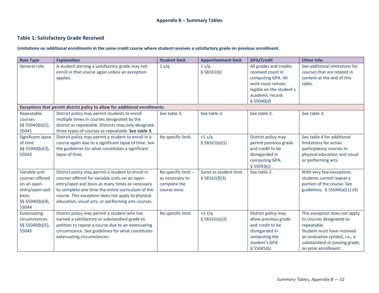# **Table 1: Satisfactory Grade Received**

**Limitations on additional enrollments in the same credit course where student receives a satisfactory grade on previous enrollment.**

<span id="page-54-0"></span>

| <b>Rule Type</b>                                                                                               | <b>Explanation</b>                                                                                                                                                                                                                                                                                                       | <b>Student limit</b>                                                   | <b>Apportionment limit</b>              | <b>GPA/Credit</b>                                                                                                                                   | Other info.                                                                                                                                                                                      |
|----------------------------------------------------------------------------------------------------------------|--------------------------------------------------------------------------------------------------------------------------------------------------------------------------------------------------------------------------------------------------------------------------------------------------------------------------|------------------------------------------------------------------------|-----------------------------------------|-----------------------------------------------------------------------------------------------------------------------------------------------------|--------------------------------------------------------------------------------------------------------------------------------------------------------------------------------------------------|
| General rule                                                                                                   | A student earning a satisfactory grade may not<br>enroll in that course again unless an exception<br>applies.                                                                                                                                                                                                            | 1 s/q                                                                  | 1 s/q<br>§ 58161(b)                     | All grades and credits<br>received count in<br>computing GPA. All<br>work must remain<br>legible on the student's<br>academic record.<br>\$55040(d) | See additional limitations for<br>courses that are related in<br>content at the end of this<br>table.                                                                                            |
|                                                                                                                | Exceptions that permit district policy to allow for additional enrollments:                                                                                                                                                                                                                                              |                                                                        |                                         |                                                                                                                                                     |                                                                                                                                                                                                  |
| Repeatable<br>courses<br>§§ 55040(b)(2),<br>55041                                                              | District policy may permit students to enroll<br>multiple times in courses designated by the<br>district as repeatable. Districts may only designate<br>three types of courses as repeatable. See table 3.                                                                                                               | See table 3.                                                           | See table 3.                            | See table 3.                                                                                                                                        | See table 3.                                                                                                                                                                                     |
| Significant lapse<br>of time<br>§§ 55040(b)(3),<br>55043                                                       | District policy may permit a student to enroll in a<br>course again due to a significant lapse of time. See<br>the guidelines for what constitutes a significant<br>lapse of time.                                                                                                                                       | No specific limit.                                                     | $+1$ s/q<br>\$58161(e)(1)               | District policy may<br>permit previous grade<br>and credit to be<br>disregarded in<br>computing GPA.<br>\$55043(c)                                  | See table 4 for additional<br>limitations for active<br>participatory courses in<br>physical education and visual<br>or performing arts.                                                         |
| Variable unit<br>courses offered<br>on an open-<br>entry/open-exit<br><b>basis</b><br>§§ 55040(b)(4),<br>55044 | District policy may permit a student to enroll in<br>courses offered for variable units on an open-<br>entry/open exit basis as many times as necessary<br>to complete one time the entire curriculum of the<br>course. This exception does not apply to physical<br>education, visual arts, or performing arts courses. | No specific limit -<br>as necessary to<br>complete the<br>course once. | Same as student limit.<br>\$58161(f)(3) | See table 2.                                                                                                                                        | With very few exceptions<br>students cannot repeat a<br>portion of the course. See<br>guidelines. § 55044(a)(1)-(4)                                                                              |
| Extenuating<br>circumstances<br>§§ 55040(b)(5),<br>55045                                                       | District policy may permit a student who has<br>earned a satisfactory or substandard grade to<br>petition to repeat a course due to an extenuating<br>circumstance. See guidelines for what constitutes<br>extenuating circumstances.                                                                                    | No specific limit.                                                     | $+1$ s/q<br>\$58161(e)(2)               | District policy may<br>allow previous grade<br>and credit to be<br>disregarded in<br>computing the<br>student's GPA.<br>\$55045(b)                  | This exception does not apply<br>to courses designated as<br>repeatable.<br>Student must have received<br>an evaluative symbol, i.e., a<br>substandard or passing grade,<br>on prior enrollment. |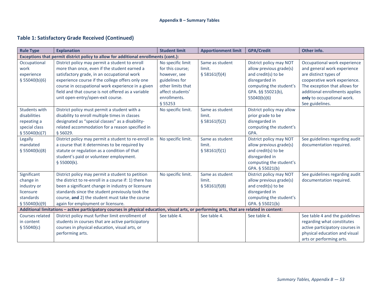# **Table 1: Satisfactory Grade Received (Continued)**

<span id="page-55-0"></span>

| <b>Rule Type</b> | <b>Explanation</b>                                                                                                                         | <b>Student limit</b> | <b>Apportionment limit</b> | <b>GPA/Credit</b>         | Other info.                     |
|------------------|--------------------------------------------------------------------------------------------------------------------------------------------|----------------------|----------------------------|---------------------------|---------------------------------|
|                  | Exceptions that permit district policy to allow for additional enrollments (cont.):                                                        |                      |                            |                           |                                 |
| Occupational     | District policy may permit a student to enroll                                                                                             | No specific limit    | Same as student            | District policy may NOT   | Occupational work experience    |
| work             | more than once, even if the student earned a                                                                                               | for this course;     | limit.                     | allow previous grade(s)   | and general work experience     |
| experience       | satisfactory grade, in an occupational work                                                                                                | however, see         | \$58161(f)(4)              | and credit(s) to be       | are distinct types of           |
| \$55040(b)(6)    | experience course if the college offers only one                                                                                           | guidelines for       |                            | disregarded in            | cooperative work experience.    |
|                  | course in occupational work experience in a given                                                                                          | other limits that    |                            | computing the student's   | The exception that allows for   |
|                  | field and that course is not offered as a variable                                                                                         | affect students'     |                            | GPA. §§ 55021(b),         | additional enrollments applies  |
|                  | unit open-entry/open-exit course.                                                                                                          | enrollments.         |                            | 55040(b)(6)               | only to occupational work.      |
|                  |                                                                                                                                            | § 55253              |                            |                           | See guidelines.                 |
| Students with    | District policy must permit a student with a                                                                                               | No specific limit.   | Same as student            | District policy may allow |                                 |
| disabilities     | disability to enroll multiple times in classes                                                                                             |                      | limit.                     | prior grade to be         |                                 |
| repeating a      | designated as "special classes" as a disability-                                                                                           |                      | \$58161(f)(2)              | disregarded in            |                                 |
| special class    | related accommodation for a reason specified in                                                                                            |                      |                            | computing the student's   |                                 |
| \$55040(b)(7)    | § 56029.                                                                                                                                   |                      |                            | GPA.                      |                                 |
| Legally          | District policy may permit a student to re-enroll in                                                                                       | No specific limit.   | Same as student            | District policy may NOT   | See guidelines regarding audit  |
| mandated         | a course that it determines to be required by                                                                                              |                      | limit.                     | allow previous grade(s)   | documentation required.         |
| \$55040(b)(8)    | statute or regulation as a condition of that                                                                                               |                      | \$58161(f)(1)              | and credit(s) to be       |                                 |
|                  | student's paid or volunteer employment.                                                                                                    |                      |                            | disregarded in            |                                 |
|                  | \$55000(k).                                                                                                                                |                      |                            | computing the student's   |                                 |
|                  |                                                                                                                                            |                      |                            | GPA. § 55021(b)           |                                 |
| Significant      | District policy may permit a student to petition                                                                                           | No specific limit.   | Same as student            | District policy may NOT   | See guidelines regarding audit  |
| change in        | the district to re-enroll in a course if: 1) there has                                                                                     |                      | limit.                     | allow previous grade(s)   | documentation required.         |
| industry or      | been a significant change in industry or licensure                                                                                         |                      | \$58161(f)(8)              | and credit(s) to be       |                                 |
| licensure        | standards since the student previously took the                                                                                            |                      |                            | disregarded in            |                                 |
| standards        | course, and 2) the student must take the course                                                                                            |                      |                            | computing the student's   |                                 |
| \$55040(b)(9)    | again for employment or licensure.                                                                                                         |                      |                            | GPA. § 55021(b)           |                                 |
|                  | Additional limitations - active participatory courses in physical education, visual arts, or performing arts, that are related in content: |                      |                            |                           |                                 |
| Courses related  | District policy must further limit enrollment of                                                                                           | See table 4.         | See table 4.               | See table 4.              | See table 4 and the guidelines  |
| in content       | students in courses that are active participatory                                                                                          |                      |                            |                           | regarding what constitutes      |
| \$55040(c)       | courses in physical education, visual arts, or                                                                                             |                      |                            |                           | active participatory courses in |
|                  | performing arts.                                                                                                                           |                      |                            |                           | physical education and visual   |
|                  |                                                                                                                                            |                      |                            |                           | arts or performing arts.        |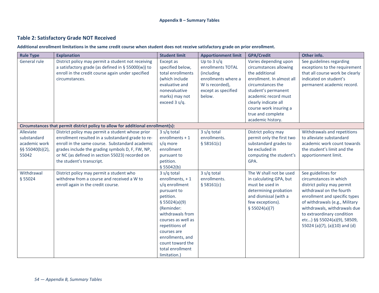# **Table 2: Satisfactory Grade NOT Received**

**Additional enrollment limitations in the same credit course when student does not receive satisfactory grade on prior enrollment.**

| <b>Rule Type</b> | <b>Explanation</b>                                                                                          | <b>Student limit</b>              | <b>Apportionment limit</b>         | <b>GPA/Credit</b>                               | Other info.                                               |
|------------------|-------------------------------------------------------------------------------------------------------------|-----------------------------------|------------------------------------|-------------------------------------------------|-----------------------------------------------------------|
| General rule     | District policy may permit a student not receiving<br>a satisfactory grade (as defined in $\S$ 55000(w)) to | Except as<br>specified below,     | Up to $3 s/q$<br>enrollments TOTAL | Varies depending upon<br>circumstances allowing | See guidelines regarding<br>exceptions to the requirement |
|                  | enroll in the credit course again under specified                                                           | total enrollments                 | (including                         | the additional                                  | that all course work be clearly                           |
|                  | circumstances.                                                                                              | (which include                    | enrollments where a                | enrollment. In almost all                       | indicated on student's                                    |
|                  |                                                                                                             | evaluative and                    | W is recorded),                    | circumstances the                               | permanent academic record.                                |
|                  |                                                                                                             | nonevaluative                     | except as specified                | student's permanent                             |                                                           |
|                  |                                                                                                             | marks) may not                    | below.                             | academic record must                            |                                                           |
|                  |                                                                                                             | exceed 3 s/q.                     |                                    | clearly indicate all                            |                                                           |
|                  |                                                                                                             |                                   |                                    | course work insuring a                          |                                                           |
|                  |                                                                                                             |                                   |                                    | true and complete                               |                                                           |
|                  |                                                                                                             |                                   |                                    | academic history.                               |                                                           |
|                  | Circumstances that permit district policy to allow for additional enrollment(s):                            |                                   |                                    |                                                 |                                                           |
| Alleviate        | District policy may permit a student whose prior                                                            | 3 s/q total                       | 3 s/q total                        | District policy may                             | Withdrawals and repetitions                               |
| substandard      | enrollment resulted in a substandard grade to re-                                                           | enrollments + 1                   | enrollments.                       | permit only the first two                       | to alleviate substandard                                  |
| academic work    | enroll in the same course. Substandard academic                                                             | s/q more                          | \$58161(c)                         | substandard grades to                           | academic work count towards                               |
| §§ 55040(b)(2),  | grades include the grading symbols D, F, FW, NP,                                                            | enrollment                        |                                    | be excluded in                                  | the student's limit and the                               |
| 55042            | or NC (as defined in section 55023) recorded on                                                             | pursuant to                       |                                    | computing the student's                         | apportionment limit.                                      |
|                  | the student's transcript.                                                                                   | petition.                         |                                    | GPA.                                            |                                                           |
|                  |                                                                                                             | \$55042(b)                        |                                    |                                                 |                                                           |
| Withdrawal       | District policy may permit a student who<br>withdrew from a course and received a W to                      | 3 s/q total                       | 3 s/q total                        | The W shall not be used                         | See guidelines for                                        |
| § 55024          | enroll again in the credit course.                                                                          | enrollments, +1<br>s/q enrollment | enrollments.<br>\$58161(c)         | in calculating GPA, but<br>must be used in      | circumstances in which<br>district policy may permit      |
|                  |                                                                                                             | pursuant to                       |                                    | determining probation                           | withdrawal on the fourth                                  |
|                  |                                                                                                             | petition.                         |                                    | and dismissal (with a                           | enrollment and specific types                             |
|                  |                                                                                                             | \$55024(a)(9)                     |                                    | few exceptions).                                | of withdrawals (e.g., Military                            |
|                  |                                                                                                             | (Reminder:                        |                                    | \$55024(a)(7)                                   | withdrawals, withdrawals due                              |
|                  |                                                                                                             | withdrawals from                  |                                    |                                                 | to extraordinary condition                                |
|                  |                                                                                                             | courses as well as                |                                    |                                                 | etc) §§ 55024(a)(9), 58509,                               |
|                  |                                                                                                             | repetitions of                    |                                    |                                                 | 55024 (a)(7), (a)(10) and (d)                             |
|                  |                                                                                                             | courses are                       |                                    |                                                 |                                                           |
|                  |                                                                                                             | enrollments, and                  |                                    |                                                 |                                                           |
|                  |                                                                                                             | count toward the                  |                                    |                                                 |                                                           |
|                  |                                                                                                             | total enrollment                  |                                    |                                                 |                                                           |
|                  |                                                                                                             | limitation.)                      |                                    |                                                 |                                                           |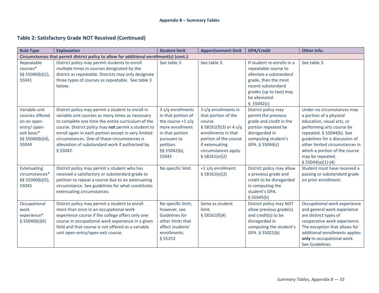# **Table 2: Satisfactory Grade NOT Received (Continued)**

| <b>Rule Type</b>                                                                                           | <b>Explanation</b>                                                                                                                                                                                                                                                                                                                                                                       | <b>Student limit</b>                                                                                                                                      | <b>Apportionment limit</b>                                                                                                                                                                 | <b>GPA/Credit</b>                                                                                                                                                                     | Other info.                                                                                                                                                                                                                                                                                  |  |  |
|------------------------------------------------------------------------------------------------------------|------------------------------------------------------------------------------------------------------------------------------------------------------------------------------------------------------------------------------------------------------------------------------------------------------------------------------------------------------------------------------------------|-----------------------------------------------------------------------------------------------------------------------------------------------------------|--------------------------------------------------------------------------------------------------------------------------------------------------------------------------------------------|---------------------------------------------------------------------------------------------------------------------------------------------------------------------------------------|----------------------------------------------------------------------------------------------------------------------------------------------------------------------------------------------------------------------------------------------------------------------------------------------|--|--|
| Circumstances that permit district policy to allow for additional enrollment(s) (cont.):                   |                                                                                                                                                                                                                                                                                                                                                                                          |                                                                                                                                                           |                                                                                                                                                                                            |                                                                                                                                                                                       |                                                                                                                                                                                                                                                                                              |  |  |
| Repeatable<br>courses*<br>§§ 55040(b)(1),<br>55041                                                         | District policy may permit students to enroll<br>multiple times in courses designated by the<br>district as repeatable. Districts may only designate<br>three types of courses as repeatable. See table 3<br>below.                                                                                                                                                                      | See table 3.                                                                                                                                              | See table 3.                                                                                                                                                                               | If student re-enrolls in a<br>repeatable course to<br>alleviate a substandard<br>grade, then the most<br>recent substandard<br>grades (up to two) may<br>be alleviated.<br>\$55042(c) | See table 3.                                                                                                                                                                                                                                                                                 |  |  |
| Variable unit<br>courses offered<br>on an open-<br>entry/ open-<br>exit basis*<br>§§ 55040(b)(4),<br>55044 | District policy may permit a student to enroll in<br>variable unit courses as many times as necessary<br>to complete one time the entire curriculum of the<br>course. District policy may not permit a student to<br>enroll again in each portion except in very limited<br>circumstances. One of those circumstances is<br>alleviation of substandard work if authorized by<br>\$55042. | 3 s/q enrollments<br>in that portion of<br>the course $+1$ s/q<br>more enrollment<br>in that portion<br>pursuant to<br>petition.<br>§§ 55042(b),<br>55045 | 3 s/q enrollments in<br>that portion of the<br>course<br>§ 58161(f)(3) or 4 s/q<br>enrollments in that<br>portion of the course<br>if extenuating<br>circumstances apply.<br>\$58161(e)(2) | District policy may<br>permit the previous<br>grade and credit in the<br>portion repeated be<br>disregarded in<br>computing student's<br>GPA. § 55044(c)                              | Under no circumstances may<br>a portion of a physical<br>education, visual arts, or<br>performing arts course be<br>repeated. § 55044(b). See<br>guidelines for a discussion of<br>other limited circumstances in<br>which a portion of the course<br>may be repeated.<br>$$55044(a)(1)-(4)$ |  |  |
| Extenuating<br>circumstances*<br>§§ 55040(b)(5),<br>55045                                                  | District policy may permit a student who has<br>received a satisfactory or substandard grade to<br>petition to repeat a course due to an extenuating<br>circumstance. See guidelines for what constitutes<br>extenuating circumstances.                                                                                                                                                  | No specific limit.                                                                                                                                        | +1 s/q enrollment.<br>\$58161(e)(2)                                                                                                                                                        | District policy may allow<br>a previous grade and<br>credit to be disregarded<br>in computing the<br>student's GPA.<br>\$55045(b)                                                     | Student must have received a<br>passing or substandard grade<br>on prior enrollment.                                                                                                                                                                                                         |  |  |
| Occupational<br>work<br>experience*<br>\$55040(b)(6)                                                       | District policy may permit a student to enroll<br>more than once in an occupational work<br>experience course if the college offers only one<br>course in occupational work experience in a given<br>field and that course is not offered as a variable<br>unit open-entry/open-exit course.                                                                                             | No specific limit;<br>however, see<br><b>Guidelines for</b><br>other limits that<br>affect students'<br>enrollments.<br>§ 55253                           | Same as student<br>limit.<br>\$58161(f)(4)                                                                                                                                                 | District policy may NOT<br>allow previous grade(s)<br>and credit(s) to be<br>disregarded in<br>computing the student's<br>GPA. § 55021(b)                                             | Occupational work experience<br>and general work experience<br>are distinct types of<br>cooperative work experience.<br>The exception that allows for<br>additional enrollments applies<br>only to occupational work.<br>See Guidelines.                                                     |  |  |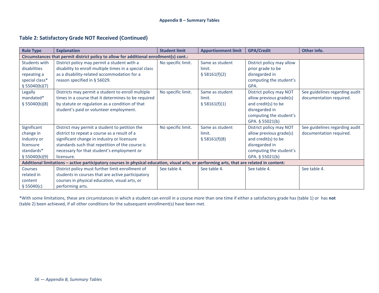# **Table 2: Satisfactory Grade NOT Received (Continued)**

| <b>Rule Type</b>                                                                                                                           | <b>Explanation</b>                                                                     | <b>Student limit</b> | <b>Apportionment limit</b> | <b>GPA/Credit</b>         | Other info.                    |  |  |  |
|--------------------------------------------------------------------------------------------------------------------------------------------|----------------------------------------------------------------------------------------|----------------------|----------------------------|---------------------------|--------------------------------|--|--|--|
|                                                                                                                                            | Circumstances that permit district policy to allow for additional enrollment(s) cont.: |                      |                            |                           |                                |  |  |  |
| Students with                                                                                                                              | District policy may permit a student with a                                            | No specific limit.   | Same as student            | District policy may allow |                                |  |  |  |
| disabilities                                                                                                                               | disability to enroll multiple times in a special class                                 |                      | limit.                     | prior grade to be         |                                |  |  |  |
| repeating a                                                                                                                                | as a disability-related accommodation for a                                            |                      | \$58161(f)(2)              | disregarded in            |                                |  |  |  |
| special class*                                                                                                                             | reason specified in § 56029.                                                           |                      |                            | computing the student's   |                                |  |  |  |
| \$55040(b)(7)                                                                                                                              |                                                                                        |                      |                            | GPA.                      |                                |  |  |  |
| Legally                                                                                                                                    | Districts may permit a student to enroll multiple                                      | No specific limit.   | Same as student            | District policy may NOT   | See guidelines regarding audit |  |  |  |
| mandated*                                                                                                                                  | times in a course that it determines to be required                                    |                      | limit.                     | allow previous grade(s)   | documentation required.        |  |  |  |
| \$55040(b)(8)                                                                                                                              | by statute or regulation as a condition of that                                        |                      | \$58161(f)(1)              | and credit(s) to be       |                                |  |  |  |
|                                                                                                                                            | student's paid or volunteer employment.                                                |                      |                            | disregarded in            |                                |  |  |  |
|                                                                                                                                            |                                                                                        |                      |                            | computing the student's   |                                |  |  |  |
|                                                                                                                                            |                                                                                        |                      |                            | GPA. § 55021(b)           |                                |  |  |  |
| Significant                                                                                                                                | District may permit a student to petition the                                          | No specific limit.   | Same as student            | District policy may NOT   | See guidelines regarding audit |  |  |  |
| change in                                                                                                                                  | district to repeat a course as a result of a                                           |                      | limit.                     | allow previous grade(s)   | documentation required.        |  |  |  |
| industry or                                                                                                                                | significant change in industry or licensure                                            |                      | \$58161(f)(8)              | and credit(s) to be       |                                |  |  |  |
| licensure                                                                                                                                  | standards such that repetition of the course is                                        |                      |                            | disregarded in            |                                |  |  |  |
| standards*                                                                                                                                 | necessary for that student's employment or                                             |                      |                            | computing the student's   |                                |  |  |  |
| \$55040(b)(9)                                                                                                                              | licensure.                                                                             |                      |                            | GPA. § 55021(b)           |                                |  |  |  |
| Additional limitations - active participatory courses in physical education, visual arts, or performing arts, that are related in content: |                                                                                        |                      |                            |                           |                                |  |  |  |
| <b>Courses</b>                                                                                                                             | District policy must further limit enrollment of                                       | See table 4.         | See table 4.               | See table 4.              | See table 4.                   |  |  |  |
| related in                                                                                                                                 | students in courses that are active participatory                                      |                      |                            |                           |                                |  |  |  |
| content                                                                                                                                    | courses in physical education, visual arts, or                                         |                      |                            |                           |                                |  |  |  |
| \$55040(c)                                                                                                                                 | performing arts.                                                                       |                      |                            |                           |                                |  |  |  |

\*With some limitations, these are circumstances in which a student can enroll in a course more than one time if either a satisfactory grade has (table 1) or has **not** (table 2) been achieved, if all other conditions for the subsequent enrollment(s) have been met.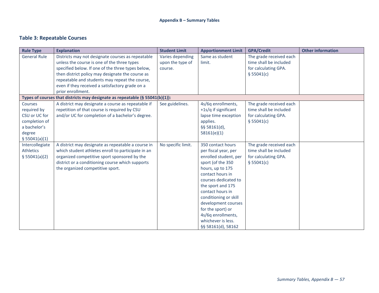# **Table 3: Repeatable Courses**

<span id="page-59-0"></span>

| <b>Rule Type</b>    | <b>Explanation</b>                                                           | <b>Student Limit</b> | <b>Apportionment Limit</b> | <b>GPA/Credit</b>       | <b>Other information</b> |
|---------------------|------------------------------------------------------------------------------|----------------------|----------------------------|-------------------------|--------------------------|
| <b>General Rule</b> | Districts may not designate courses as repeatable                            | Varies depending     | Same as student            | The grade received each |                          |
|                     | unless the course is one of the three types                                  | upon the type of     | limit.                     | time shall be included  |                          |
|                     | specified below. If one of the three types below,                            | course.              |                            | for calculating GPA.    |                          |
|                     | then district policy may designate the course as                             |                      |                            | \$55041(c)              |                          |
|                     | repeatable and students may repeat the course,                               |                      |                            |                         |                          |
|                     | even if they received a satisfactory grade on a                              |                      |                            |                         |                          |
|                     | prior enrollment.                                                            |                      |                            |                         |                          |
|                     | Types of courses that districts may designate as repeatable (§ 55041(b)(1)): |                      |                            |                         |                          |
| Courses             | A district may designate a course as repeatable if                           | See guidelines.      | 4s/6q enrollments,         | The grade received each |                          |
| required by         | repetition of that course is required by CSU                                 |                      | +1s/q if significant       | time shall be included  |                          |
| CSU or UC for       | and/or UC for completion of a bachelor's degree.                             |                      | lapse time exception       | for calculating GPA.    |                          |
| completion of       |                                                                              |                      | applies.                   | \$55041(c)              |                          |
| a bachelor's        |                                                                              |                      | §§ 58161(d),               |                         |                          |
| degree              |                                                                              |                      | 58161(e)(1)                |                         |                          |
| \$55041(a)(1)       |                                                                              |                      |                            |                         |                          |
| Intercollegiate     | A district may designate as repeatable a course in                           | No specific limit.   | 350 contact hours          | The grade received each |                          |
| Athletics           | which student athletes enroll to participate in an                           |                      | per fiscal year, per       | time shall be included  |                          |
| \$55041(a)(2)       | organized competitive sport sponsored by the                                 |                      | enrolled student, per      | for calculating GPA.    |                          |
|                     | district or a conditioning course which supports                             |                      | sport (of the 350          | \$55041(c)              |                          |
|                     | the organized competitive sport.                                             |                      | hours, up to 175           |                         |                          |
|                     |                                                                              |                      | contact hours in           |                         |                          |
|                     |                                                                              |                      | courses dedicated to       |                         |                          |
|                     |                                                                              |                      | the sport and 175          |                         |                          |
|                     |                                                                              |                      | contact hours in           |                         |                          |
|                     |                                                                              |                      | conditioning or skill      |                         |                          |
|                     |                                                                              |                      | development courses        |                         |                          |
|                     |                                                                              |                      | for the sport) or          |                         |                          |
|                     |                                                                              |                      | 4s/6q enrollments,         |                         |                          |
|                     |                                                                              |                      | whichever is less.         |                         |                          |
|                     |                                                                              |                      | §§ 58161(d), 58162         |                         |                          |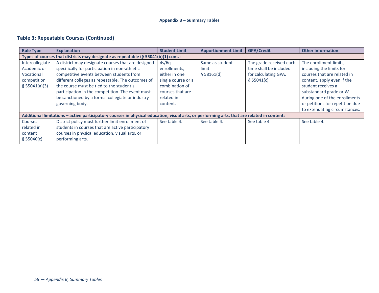# **Table 3: Repeatable Courses (Continued)**

| <b>Rule Type</b>                                                                  | <b>Explanation</b>                                                                                                                         | <b>Student Limit</b> | <b>Apportionment Limit</b> | <b>GPA/Credit</b>       | <b>Other information</b>        |  |  |
|-----------------------------------------------------------------------------------|--------------------------------------------------------------------------------------------------------------------------------------------|----------------------|----------------------------|-------------------------|---------------------------------|--|--|
| Types of courses that districts may designate as repeatable (§ 55041(b)(1) cont.: |                                                                                                                                            |                      |                            |                         |                                 |  |  |
| Intercollegiate                                                                   | A district may designate courses that are designed                                                                                         | 4s/6q                | Same as student            | The grade received each | The enrollment limits,          |  |  |
| Academic or                                                                       | specifically for participation in non-athletic                                                                                             | enrollments,         | limit.                     | time shall be included  | including the limits for        |  |  |
| Vocational                                                                        | competitive events between students from                                                                                                   | either in one        | \$58161(d)                 | for calculating GPA.    | courses that are related in     |  |  |
| competition                                                                       | different colleges as repeatable. The outcomes of                                                                                          | single course or a   |                            | \$55041(c)              | content, apply even if the      |  |  |
| \$55041(a)(3)                                                                     | the course must be tied to the student's                                                                                                   | combination of       |                            |                         | student receives a              |  |  |
|                                                                                   | participation in the competition. The event must                                                                                           | courses that are     |                            |                         | substandard grade or W          |  |  |
|                                                                                   | be sanctioned by a formal collegiate or industry                                                                                           | related in           |                            |                         | during one of the enrollments   |  |  |
|                                                                                   | governing body.                                                                                                                            | content.             |                            |                         | or petitions for repetition due |  |  |
|                                                                                   |                                                                                                                                            |                      |                            |                         | to extenuating circumstances.   |  |  |
|                                                                                   | Additional limitations - active participatory courses in physical education, visual arts, or performing arts, that are related in content: |                      |                            |                         |                                 |  |  |
| <b>Courses</b>                                                                    | District policy must further limit enrollment of                                                                                           | See table 4.         | See table 4.               | See table 4.            | See table 4.                    |  |  |
| related in                                                                        | students in courses that are active participatory                                                                                          |                      |                            |                         |                                 |  |  |
| content                                                                           | courses in physical education, visual arts, or                                                                                             |                      |                            |                         |                                 |  |  |
| \$55040(c)                                                                        | performing arts.                                                                                                                           |                      |                            |                         |                                 |  |  |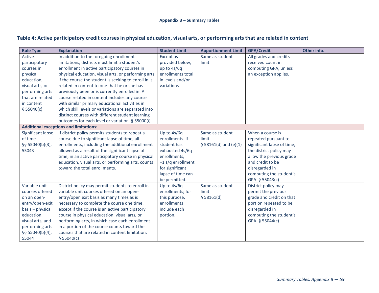# **Table 4: Active participatory credit courses in physical education, visual arts, or performing arts that are related in content**

<span id="page-61-0"></span>

| <b>Rule Type</b>                              | <b>Explanation</b>                                   | <b>Student Limit</b> | <b>Apportionment Limit</b> | <b>GPA/Credit</b>          | Other info. |  |  |  |
|-----------------------------------------------|------------------------------------------------------|----------------------|----------------------------|----------------------------|-------------|--|--|--|
| Active                                        | In addition to the foregoing enrollment              | Except as            | Same as student            | All grades and credits     |             |  |  |  |
| participatory                                 | limitations, districts must limit a student's        | provided below,      | limit.                     | received count in          |             |  |  |  |
| courses in                                    | enrollment in active participatory courses in        | up to 4s/6q          |                            | computing GPA, unless      |             |  |  |  |
| physical                                      | physical education, visual arts, or performing arts  | enrollments total    |                            | an exception applies.      |             |  |  |  |
| education,                                    | if the course the student is seeking to enroll in is | in levels and/or     |                            |                            |             |  |  |  |
| visual arts, or                               | related in content to one that he or she has         | variations.          |                            |                            |             |  |  |  |
| performing arts                               | previously been or is currently enrolled in. A       |                      |                            |                            |             |  |  |  |
| that are related                              | course related in content includes any course        |                      |                            |                            |             |  |  |  |
| in content                                    | with similar primary educational activities in       |                      |                            |                            |             |  |  |  |
| \$55040(c)                                    | which skill levels or variations are separated into  |                      |                            |                            |             |  |  |  |
|                                               | distinct courses with different student learning     |                      |                            |                            |             |  |  |  |
|                                               | outcomes for each level or variation. § 55000(/)     |                      |                            |                            |             |  |  |  |
| <b>Additional exceptions and limitations:</b> |                                                      |                      |                            |                            |             |  |  |  |
| Significant lapse                             | If district policy permits students to repeat a      | Up to 4s/6q          | Same as student            | When a course is           |             |  |  |  |
| of time                                       | course due to significant lapse of time, all         | enrollments. If      | limit.                     | repeated pursuant to       |             |  |  |  |
| §§ 55040(b)(3),                               | enrollments, including the additional enrollment     | student has          | § 58161(d) and (e)(1)      | significant lapse of time, |             |  |  |  |
| 55043                                         | allowed as a result of the significant lapse of      | exhausted 4s/6q      |                            | the district policy may    |             |  |  |  |
|                                               | time, in an active participatory course in physical  | enrollments,         |                            | allow the previous grade   |             |  |  |  |
|                                               | education, visual arts, or performing arts, counts   | +1 s/q enrollment    |                            | and credit to be           |             |  |  |  |
|                                               | toward the total enrollments.                        | for significant      |                            | disregarded in             |             |  |  |  |
|                                               |                                                      | lapse of time can    |                            | computing the student's    |             |  |  |  |
|                                               |                                                      | be permitted.        |                            | GPA. § 55043(c)            |             |  |  |  |
| Variable unit                                 | District policy may permit students to enroll in     | Up to 4s/6q          | Same as student            | District policy may        |             |  |  |  |
| courses offered                               | variable unit courses offered on an open-            | enrollments; for     | limit.                     | permit the previous        |             |  |  |  |
| on an open-                                   | entry/open exit basis as many times as is            | this purpose,        | \$58161(d)                 | grade and credit on that   |             |  |  |  |
| entry/open-exit                               | necessary to complete the course one time,           | enrollments          |                            | portion repeated to be     |             |  |  |  |
| basis - physical                              | except if the course is an active participatory      | include each         |                            | disregarded in             |             |  |  |  |
| education,                                    | course in physical education, visual arts, or        | portion.             |                            | computing the student's    |             |  |  |  |
| visual arts, and                              | performing arts, in which case each enrollment       |                      |                            | GPA. § 55044(c)            |             |  |  |  |
| performing arts                               | in a portion of the course counts toward the         |                      |                            |                            |             |  |  |  |
| §§ 55040(b)(4),                               | courses that are related in content limitation.      |                      |                            |                            |             |  |  |  |
| 55044                                         | \$55040(c)                                           |                      |                            |                            |             |  |  |  |